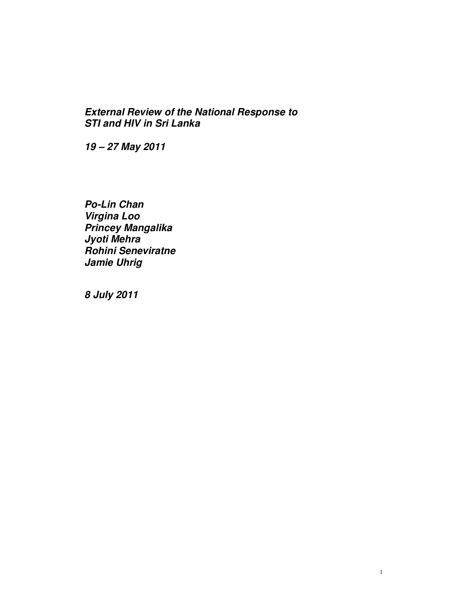# **External Review of the National Response to STI and HIV in Sri Lanka**

**19 – 27 May 2011** 

**Po-Lin Chan Virgina Loo Princey Mangalika Jyoti Mehra Rohini Seneviratne Jamie Uhrig** 

**8 July 2011**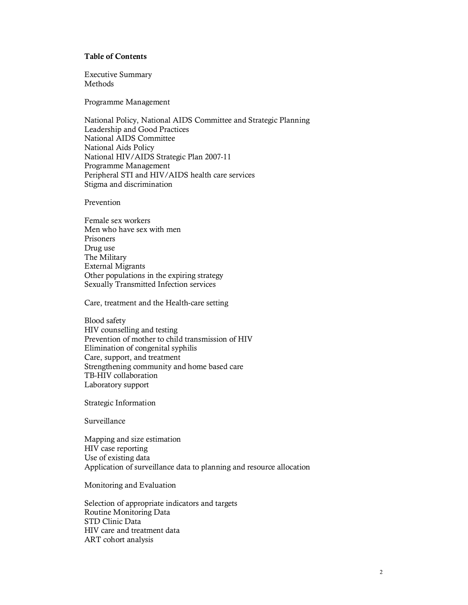### **Table of Contents**

Executive Summary Methods

Programme Management

National Policy, National AIDS Committee and Strategic Planning Leadership and Good Practices National AIDS Committee National Aids Policy National HIV/AIDS Strategic Plan 2007-11 Programme Management Peripheral STI and HIV/AIDS health care services Stigma and discrimination

Prevention

Female sex workers Men who have sex with men Prisoners Drug use The Military External Migrants Other populations in the expiring strategy Sexually Transmitted Infection services

Care, treatment and the Health-care setting

Blood safety HIV counselling and testing Prevention of mother to child transmission of HIV Elimination of congenital syphilis Care, support, and treatment Strengthening community and home based care TB-HIV collaboration Laboratory support

Strategic Information

Surveillance

Mapping and size estimation HIV case reporting Use of existing data Application of surveillance data to planning and resource allocation

Monitoring and Evaluation

Selection of appropriate indicators and targets Routine Monitoring Data STD Clinic Data HIV care and treatment data ART cohort analysis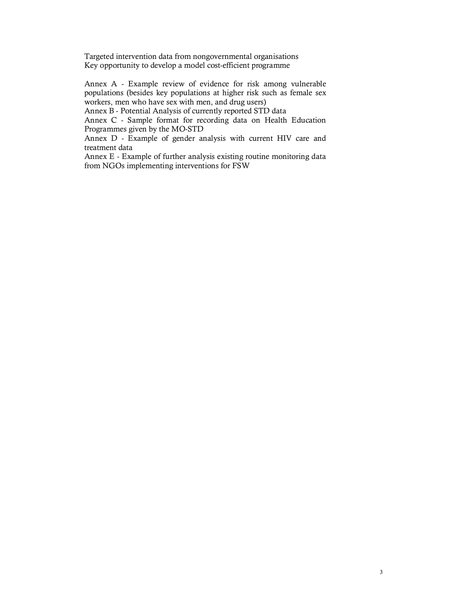Targeted intervention data from nongovernmental organisations Key opportunity to develop a model cost-efficient programme

Annex A - Example review of evidence for risk among vulnerable populations (besides key populations at higher risk such as female sex workers, men who have sex with men, and drug users)

Annex B - Potential Analysis of currently reported STD data

Annex C - Sample format for recording data on Health Education Programmes given by the MO-STD

Annex D - Example of gender analysis with current HIV care and treatment data

Annex E - Example of further analysis existing routine monitoring data from NGOs implementing interventions for FSW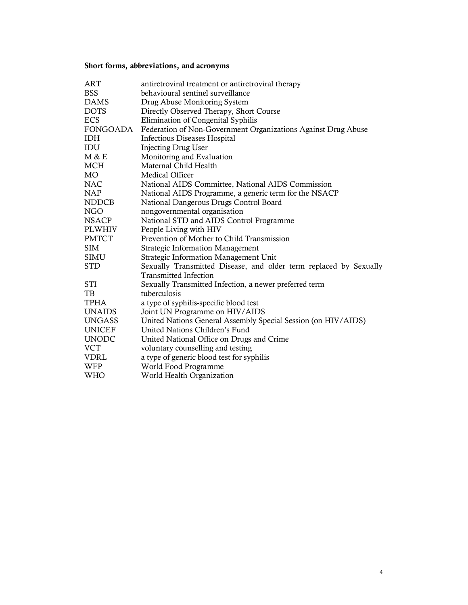# **Short forms, abbreviations, and acronyms**

| <b>ART</b>    | antiretroviral treatment or antiretroviral therapy                |
|---------------|-------------------------------------------------------------------|
| <b>BSS</b>    | behavioural sentinel surveillance                                 |
| <b>DAMS</b>   | Drug Abuse Monitoring System                                      |
| <b>DOTS</b>   | Directly Observed Therapy, Short Course                           |
| <b>ECS</b>    | Elimination of Congenital Syphilis                                |
| FONGOADA      | Federation of Non-Government Organizations Against Drug Abuse     |
| <b>IDH</b>    | Infectious Diseases Hospital                                      |
| IDU           | <b>Injecting Drug User</b>                                        |
| M & E         | Monitoring and Evaluation                                         |
| MCH           | Maternal Child Health                                             |
| MO            | Medical Officer                                                   |
| <b>NAC</b>    | National AIDS Committee, National AIDS Commission                 |
| <b>NAP</b>    | National AIDS Programme, a generic term for the NSACP             |
| <b>NDDCB</b>  | National Dangerous Drugs Control Board                            |
| <b>NGO</b>    | nongovernmental organisation                                      |
| <b>NSACP</b>  | National STD and AIDS Control Programme                           |
| <b>PLWHIV</b> | People Living with HIV                                            |
| <b>PMTCT</b>  | Prevention of Mother to Child Transmission                        |
| <b>SIM</b>    | Strategic Information Management                                  |
| SIMU          | Strategic Information Management Unit                             |
| <b>STD</b>    | Sexually Transmitted Disease, and older term replaced by Sexually |
|               | Transmitted Infection                                             |
| <b>STI</b>    | Sexually Transmitted Infection, a newer preferred term            |
| TB            | tuberculosis                                                      |
| <b>TPHA</b>   | a type of syphilis-specific blood test                            |
| <b>UNAIDS</b> | Joint UN Programme on HIV/AIDS                                    |
| <b>UNGASS</b> | United Nations General Assembly Special Session (on HIV/AIDS)     |
| <b>UNICEF</b> | United Nations Children's Fund                                    |
| <b>UNODC</b>  | United National Office on Drugs and Crime                         |
| <b>VCT</b>    | voluntary counselling and testing                                 |
| <b>VDRL</b>   | a type of generic blood test for syphilis                         |
| WFP           | World Food Programme                                              |
| <b>WHO</b>    | World Health Organization                                         |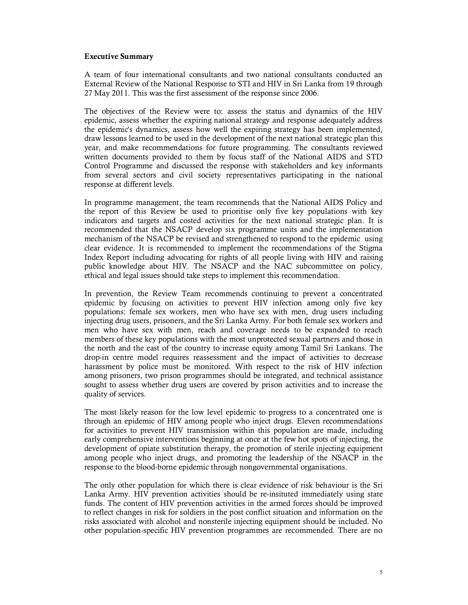#### **Executive Summary**

A team of four international consultants and two national consultants conducted an External Review of the National Response to STI and HIV in Sri Lanka from 19 through 27 May 2011. This was the first assessment of the response since 2006.

The objectives of the Review were to: assess the status and dynamics of the HIV epidemic, assess whether the expiring national strategy and response adequately address the epidemic's dynamics, assess how well the expiring strategy has been implemented, draw lessons learned to be used in the development of the next national strategic plan this year, and make recommendations for future programming. The consultants reviewed written documents provided to them by focus staff of the National AIDS and STD Control Programme and discussed the response with stakeholders and key informants from several sectors and civil society representatives participating in the national response at different levels.

In programme management, the team recommends that the National AIDS Policy and the report of this Review be used to prioritise only five key populations with key indicators and targets and costed activities for the next national strategic plan. It is recommended that the NSACP develop six programme units and the implementation mechanism of the NSACP be revised and strengthened to respond to the epidemic using clear evidence. It is recommended to implement the recommendations of the Stigma Index Report including advocating for rights of all people living with HIV and raising public knowledge about HIV. The NSACP and the NAC subcommittee on policy, ethical and legal issues should take steps to implement this recommendation.

In prevention, the Review Team recommends continuing to prevent a concentrated epidemic by focusing on activities to prevent HIV infection among only five key populations: female sex workers, men who have sex with men, drug users including injecting drug users, prisoners, and the Sri Lanka Army. For both female sex workers and men who have sex with men, reach and coverage needs to be expanded to reach members of these key populations with the most unprotected sexual partners and those in the north and the east of the country to increase equity among Tamil Sri Lankans. The drop-in centre model requires reassessment and the impact of activities to decrease harassment by police must be monitored. With respect to the risk of HIV infection among prisoners, two prison programmes should be integrated, and technical assistance sought to assess whether drug users are covered by prison activities and to increase the quality of services.

The most likely reason for the low level epidemic to progress to a concentrated one is through an epidemic of HIV among people who inject drugs. Eleven recommendations for activities to prevent HIV transmission within this population are made, including early comprehensive interventions beginning at once at the few hot spots of injecting, the development of opiate substitution therapy, the promotion of sterile injecting equipment among people who inject drugs, and promoting the leadership of the NSACP in the response to the blood-borne epidemic through nongovernmental organisations.

The only other population for which there is clear evidence of risk behaviour is the Sri Lanka Army. HIV prevention activities should be re-insituted immediately using state funds. The content of HIV prevention activities in the armed forces should be improved to reflect changes in risk for soldiers in the post conflict situation and information on the risks associated with alcohol and nonsterile injecting equipment should be included. No other population-specific HIV prevention programmes are recommended. There are no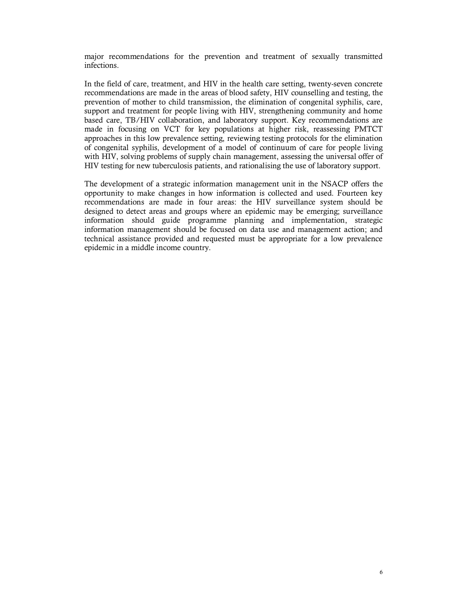major recommendations for the prevention and treatment of sexually transmitted infections.

In the field of care, treatment, and HIV in the health care setting, twenty-seven concrete recommendations are made in the areas of blood safety, HIV counselling and testing, the prevention of mother to child transmission, the elimination of congenital syphilis, care, support and treatment for people living with HIV, strengthening community and home based care, TB/HIV collaboration, and laboratory support. Key recommendations are made in focusing on VCT for key populations at higher risk, reassessing PMTCT approaches in this low prevalence setting, reviewing testing protocols for the elimination of congenital syphilis, development of a model of continuum of care for people living with HIV, solving problems of supply chain management, assessing the universal offer of HIV testing for new tuberculosis patients, and rationalising the use of laboratory support.

The development of a strategic information management unit in the NSACP offers the opportunity to make changes in how information is collected and used. Fourteen key recommendations are made in four areas: the HIV surveillance system should be designed to detect areas and groups where an epidemic may be emerging; surveillance information should guide programme planning and implementation, strategic information management should be focused on data use and management action; and technical assistance provided and requested must be appropriate for a low prevalence epidemic in a middle income country.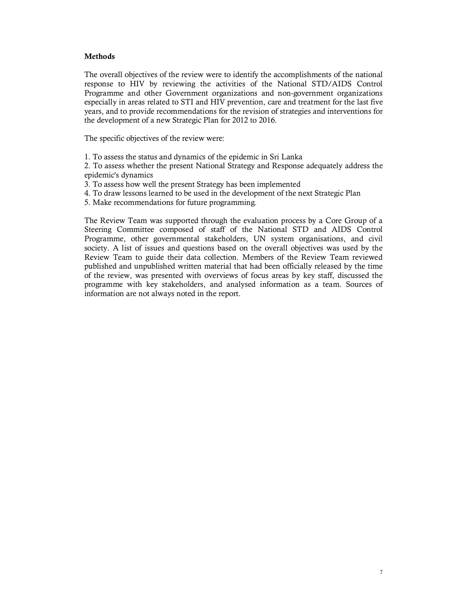### **Methods**

The overall objectives of the review were to identify the accomplishments of the national response to HIV by reviewing the activities of the National STD/AIDS Control Programme and other Government organizations and non-government organizations especially in areas related to STI and HIV prevention, care and treatment for the last five years, and to provide recommendations for the revision of strategies and interventions for the development of a new Strategic Plan for 2012 to 2016.

The specific objectives of the review were:

1. To assess the status and dynamics of the epidemic in Sri Lanka

2. To assess whether the present National Strategy and Response adequately address the epidemic's dynamics

3. To assess how well the present Strategy has been implemented

4. To draw lessons learned to be used in the development of the next Strategic Plan

5. Make recommendations for future programming.

The Review Team was supported through the evaluation process by a Core Group of a Steering Committee composed of staff of the National STD and AIDS Control Programme, other governmental stakeholders, UN system organisations, and civil society. A list of issues and questions based on the overall objectives was used by the Review Team to guide their data collection. Members of the Review Team reviewed published and unpublished written material that had been officially released by the time of the review, was presented with overviews of focus areas by key staff, discussed the programme with key stakeholders, and analysed information as a team. Sources of information are not always noted in the report.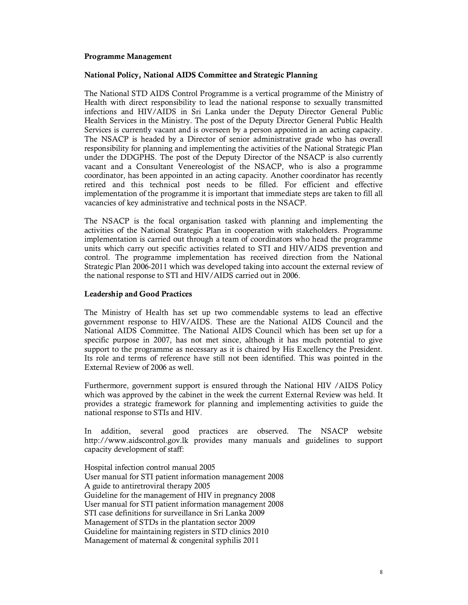### **Programme Management**

#### **National Policy, National AIDS Committee and Strategic Planning**

The National STD AIDS Control Programme is a vertical programme of the Ministry of Health with direct responsibility to lead the national response to sexually transmitted infections and HIV/AIDS in Sri Lanka under the Deputy Director General Public Health Services in the Ministry. The post of the Deputy Director General Public Health Services is currently vacant and is overseen by a person appointed in an acting capacity. The NSACP is headed by a Director of senior administrative grade who has overall responsibility for planning and implementing the activities of the National Strategic Plan under the DDGPHS. The post of the Deputy Director of the NSACP is also currently vacant and a Consultant Venereologist of the NSACP, who is also a programme coordinator, has been appointed in an acting capacity. Another coordinator has recently retired and this technical post needs to be filled. For efficient and effective implementation of the programme it is important that immediate steps are taken to fill all vacancies of key administrative and technical posts in the NSACP.

The NSACP is the focal organisation tasked with planning and implementing the activities of the National Strategic Plan in cooperation with stakeholders. Programme implementation is carried out through a team of coordinators who head the programme units which carry out specific activities related to STI and HIV/AIDS prevention and control. The programme implementation has received direction from the National Strategic Plan 2006-2011 which was developed taking into account the external review of the national response to STI and HIV/AIDS carried out in 2006.

### **Leadership and Good Practices**

The Ministry of Health has set up two commendable systems to lead an effective government response to HIV/AIDS. These are the National AIDS Council and the National AIDS Committee. The National AIDS Council which has been set up for a specific purpose in 2007, has not met since, although it has much potential to give support to the programme as necessary as it is chaired by His Excellency the President. Its role and terms of reference have still not been identified. This was pointed in the External Review of 2006 as well.

Furthermore, government support is ensured through the National HIV /AIDS Policy which was approved by the cabinet in the week the current External Review was held. It provides a strategic framework for planning and implementing activities to guide the national response to STIs and HIV.

In addition, several good practices are observed. The NSACP website http://www.aidscontrol.gov.lk provides many manuals and guidelines to support capacity development of staff:

Hospital infection control manual 2005 User manual for STI patient information management 2008 A guide to antiretroviral therapy 2005 Guideline for the management of HIV in pregnancy 2008 User manual for STI patient information management 2008 STI case definitions for surveillance in Sri Lanka 2009 Management of STDs in the plantation sector 2009 Guideline for maintaining registers in STD clinics 2010 Management of maternal & congenital syphilis 2011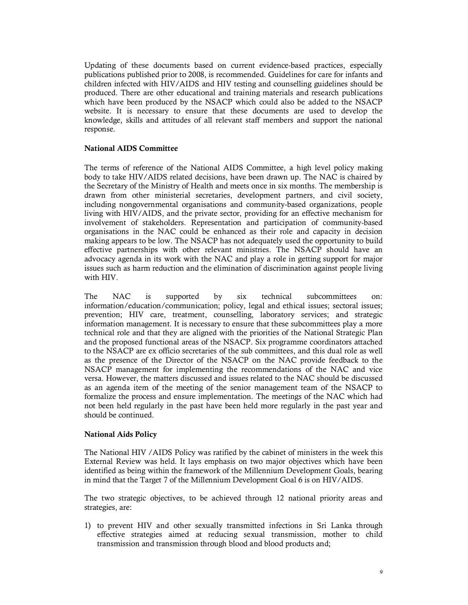Updating of these documents based on current evidence-based practices, especially publications published prior to 2008, is recommended. Guidelines for care for infants and children infected with HIV/AIDS and HIV testing and counselling guidelines should be produced. There are other educational and training materials and research publications which have been produced by the NSACP which could also be added to the NSACP website. It is necessary to ensure that these documents are used to develop the knowledge, skills and attitudes of all relevant staff members and support the national response.

### **National AIDS Committee**

The terms of reference of the National AIDS Committee, a high level policy making body to take HIV/AIDS related decisions, have been drawn up. The NAC is chaired by the Secretary of the Ministry of Health and meets once in six months. The membership is drawn from other ministerial secretaries, development partners, and civil society, including nongovernmental organisations and community-based organizations, people living with HIV/AIDS, and the private sector, providing for an effective mechanism for involvement of stakeholders. Representation and participation of community-based organisations in the NAC could be enhanced as their role and capacity in decision making appears to be low. The NSACP has not adequately used the opportunity to build effective partnerships with other relevant ministries. The NSACP should have an advocacy agenda in its work with the NAC and play a role in getting support for major issues such as harm reduction and the elimination of discrimination against people living with HIV.

The NAC is supported by six technical subcommittees on: information/education/communication; policy, legal and ethical issues; sectoral issues; prevention; HIV care, treatment, counselling, laboratory services; and strategic information management. It is necessary to ensure that these subcommittees play a more technical role and that they are aligned with the priorities of the National Strategic Plan and the proposed functional areas of the NSACP. Six programme coordinators attached to the NSACP are ex officio secretaries of the sub committees, and this dual role as well as the presence of the Director of the NSACP on the NAC provide feedback to the NSACP management for implementing the recommendations of the NAC and vice versa. However, the matters discussed and issues related to the NAC should be discussed as an agenda item of the meeting of the senior management team of the NSACP to formalize the process and ensure implementation. The meetings of the NAC which had not been held regularly in the past have been held more regularly in the past year and should be continued.

#### **National Aids Policy**

The National HIV /AIDS Policy was ratified by the cabinet of ministers in the week this External Review was held. It lays emphasis on two major objectives which have been identified as being within the framework of the Millennium Development Goals, bearing in mind that the Target 7 of the Millennium Development Goal 6 is on HIV/AIDS.

The two strategic objectives, to be achieved through 12 national priority areas and strategies, are:

1) to prevent HIV and other sexually transmitted infections in Sri Lanka through effective strategies aimed at reducing sexual transmission, mother to child transmission and transmission through blood and blood products and;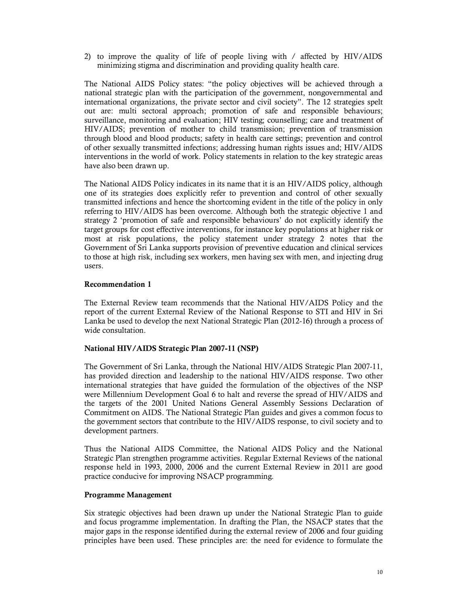2) to improve the quality of life of people living with / affected by HIV/AIDS minimizing stigma and discrimination and providing quality health care.

The National AIDS Policy states: "the policy objectives will be achieved through a national strategic plan with the participation of the government, nongovernmental and international organizations, the private sector and civil society". The 12 strategies spelt out are: multi sectoral approach; promotion of safe and responsible behaviours; surveillance, monitoring and evaluation; HIV testing; counselling; care and treatment of HIV/AIDS; prevention of mother to child transmission; prevention of transmission through blood and blood products; safety in health care settings; prevention and control of other sexually transmitted infections; addressing human rights issues and; HIV/AIDS interventions in the world of work. Policy statements in relation to the key strategic areas have also been drawn up.

The National AIDS Policy indicates in its name that it is an HIV/AIDS policy, although one of its strategies does explicitly refer to prevention and control of other sexually transmitted infections and hence the shortcoming evident in the title of the policy in only referring to HIV/AIDS has been overcome. Although both the strategic objective 1 and strategy 2 'promotion of safe and responsible behaviours' do not explicitly identify the target groups for cost effective interventions, for instance key populations at higher risk or most at risk populations, the policy statement under strategy 2 notes that the Government of Sri Lanka supports provision of preventive education and clinical services to those at high risk, including sex workers, men having sex with men, and injecting drug users.

### **Recommendation 1**

The External Review team recommends that the National HIV/AIDS Policy and the report of the current External Review of the National Response to STI and HIV in Sri Lanka be used to develop the next National Strategic Plan (2012-16) through a process of wide consultation.

# **National HIV/AIDS Strategic Plan 2007-11 (NSP)**

The Government of Sri Lanka, through the National HIV/AIDS Strategic Plan 2007-11, has provided direction and leadership to the national HIV/AIDS response. Two other international strategies that have guided the formulation of the objectives of the NSP were Millennium Development Goal 6 to halt and reverse the spread of HIV/AIDS and the targets of the 2001 United Nations General Assembly Sessions Declaration of Commitment on AIDS. The National Strategic Plan guides and gives a common focus to the government sectors that contribute to the HIV/AIDS response, to civil society and to development partners.

Thus the National AIDS Committee, the National AIDS Policy and the National Strategic Plan strengthen programme activities. Regular External Reviews of the national response held in 1993, 2000, 2006 and the current External Review in 2011 are good practice conducive for improving NSACP programming.

### **Programme Management**

Six strategic objectives had been drawn up under the National Strategic Plan to guide and focus programme implementation. In drafting the Plan, the NSACP states that the major gaps in the response identified during the external review of 2006 and four guiding principles have been used. These principles are: the need for evidence to formulate the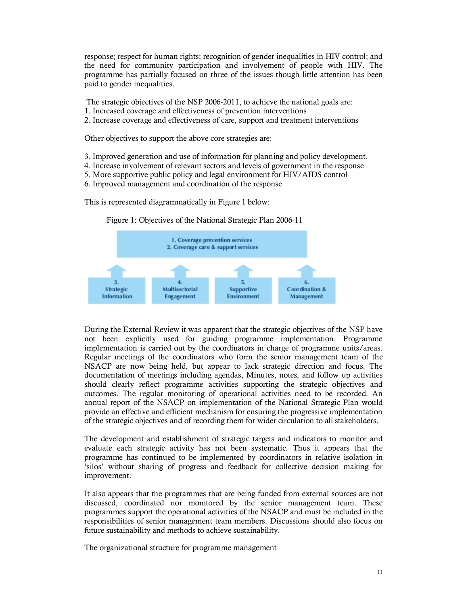response; respect for human rights; recognition of gender inequalities in HIV control; and the need for community participation and involvement of people with HIV. The programme has partially focused on three of the issues though little attention has been paid to gender inequalities.

- The strategic objectives of the NSP 2006-2011, to achieve the national goals are:
- 1. Increased coverage and effectiveness of prevention interventions
- 2. Increase coverage and effectiveness of care, support and treatment interventions

Other objectives to support the above core strategies are:

- 3. Improved generation and use of information for planning and policy development.
- 4. Increase involvement of relevant sectors and levels of government in the response
- 5. More supportive public policy and legal environment for HIV/AIDS control
- 6. Improved management and coordination of the response

This is represented diagrammatically in Figure 1 below:



Figure 1: Objectives of the National Strategic Plan 2006-11

During the External Review it was apparent that the strategic objectives of the NSP have not been explicitly used for guiding programme implementation. Programme implementation is carried out by the coordinators in charge of programme units/areas. Regular meetings of the coordinators who form the senior management team of the NSACP are now being held, but appear to lack strategic direction and focus. The documentation of meetings including agendas, Minutes, notes, and follow up activities should clearly reflect programme activities supporting the strategic objectives and outcomes. The regular monitoring of operational activities need to be recorded. An annual report of the NSACP on implementation of the National Strategic Plan would provide an effective and efficient mechanism for ensuring the progressive implementation of the strategic objectives and of recording them for wider circulation to all stakeholders.

The development and establishment of strategic targets and indicators to monitor and evaluate each strategic activity has not been systematic. Thus it appears that the programme has continued to be implemented by coordinators in relative isolation in 'silos' without sharing of progress and feedback for collective decision making for improvement.

It also appears that the programmes that are being funded from external sources are not discussed, coordinated nor monitored by the senior management team. These programmes support the operational activities of the NSACP and must be included in the responsibilities of senior management team members. Discussions should also focus on future sustainability and methods to achieve sustainability.

The organizational structure for programme management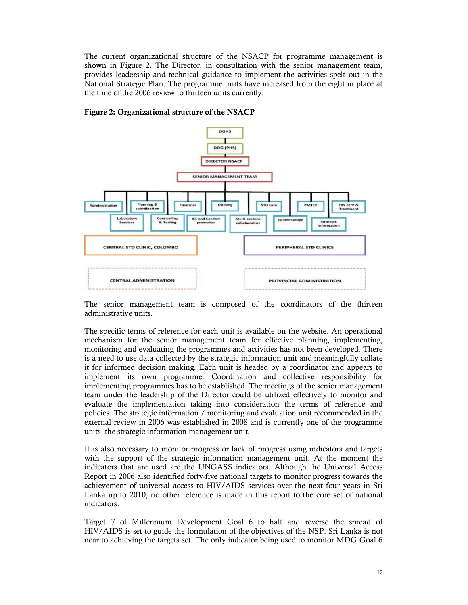The current organizational structure of the NSACP for programme management is shown in Figure 2. The Director, in consultation with the senior management team, provides leadership and technical guidance to implement the activities spelt out in the National Strategic Plan. The programme units have increased from the eight in place at the time of the 2006 review to thirteen units currently.



## **Figure 2: Organizational structure of the NSACP**

The senior management team is composed of the coordinators of the thirteen administrative units.

The specific terms of reference for each unit is available on the website. An operational mechanism for the senior management team for effective planning, implementing, monitoring and evaluating the programmes and activities has not been developed. There is a need to use data collected by the strategic information unit and meaningfully collate it for informed decision making. Each unit is headed by a coordinator and appears to implement its own programme. Coordination and collective responsibility for implementing programmes has to be established. The meetings of the senior management team under the leadership of the Director could be utilized effectively to monitor and evaluate the implementation taking into consideration the terms of reference and policies. The strategic information / monitoring and evaluation unit recommended in the external review in 2006 was established in 2008 and is currently one of the programme units, the strategic information management unit.

It is also necessary to monitor progress or lack of progress using indicators and targets with the support of the strategic information management unit. At the moment the indicators that are used are the UNGASS indicators. Although the Universal Access Report in 2006 also identified forty-five national targets to monitor progress towards the achievement of universal access to HIV/AIDS services over the next four years in Sri Lanka up to 2010, no other reference is made in this report to the core set of national indicators.

Target 7 of Millennium Development Goal 6 to halt and reverse the spread of HIV/AIDS is set to guide the formulation of the objectives of the NSP. Sri Lanka is not near to achieving the targets set. The only indicator being used to monitor MDG Goal 6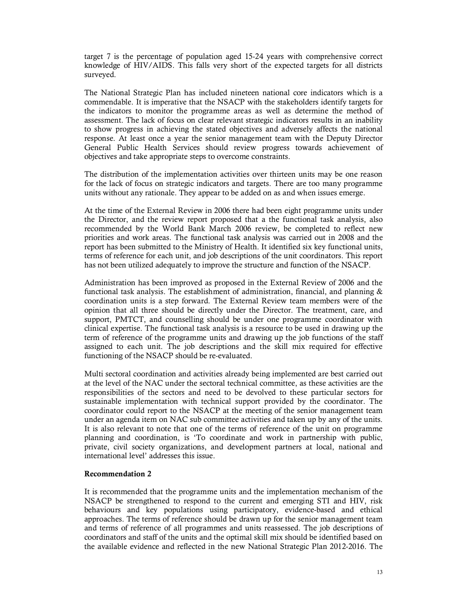target 7 is the percentage of population aged 15-24 years with comprehensive correct knowledge of HIV/AIDS. This falls very short of the expected targets for all districts surveyed.

The National Strategic Plan has included nineteen national core indicators which is a commendable. It is imperative that the NSACP with the stakeholders identify targets for the indicators to monitor the programme areas as well as determine the method of assessment. The lack of focus on clear relevant strategic indicators results in an inability to show progress in achieving the stated objectives and adversely affects the national response. At least once a year the senior management team with the Deputy Director General Public Health Services should review progress towards achievement of objectives and take appropriate steps to overcome constraints.

The distribution of the implementation activities over thirteen units may be one reason for the lack of focus on strategic indicators and targets. There are too many programme units without any rationale. They appear to be added on as and when issues emerge.

At the time of the External Review in 2006 there had been eight programme units under the Director, and the review report proposed that a the functional task analysis, also recommended by the World Bank March 2006 review, be completed to reflect new priorities and work areas. The functional task analysis was carried out in 2008 and the report has been submitted to the Ministry of Health. It identified six key functional units, terms of reference for each unit, and job descriptions of the unit coordinators. This report has not been utilized adequately to improve the structure and function of the NSACP.

Administration has been improved as proposed in the External Review of 2006 and the functional task analysis. The establishment of administration, financial, and planning  $\&$ coordination units is a step forward. The External Review team members were of the opinion that all three should be directly under the Director. The treatment, care, and support, PMTCT, and counselling should be under one programme coordinator with clinical expertise. The functional task analysis is a resource to be used in drawing up the term of reference of the programme units and drawing up the job functions of the staff assigned to each unit. The job descriptions and the skill mix required for effective functioning of the NSACP should be re-evaluated.

Multi sectoral coordination and activities already being implemented are best carried out at the level of the NAC under the sectoral technical committee, as these activities are the responsibilities of the sectors and need to be devolved to these particular sectors for sustainable implementation with technical support provided by the coordinator. The coordinator could report to the NSACP at the meeting of the senior management team under an agenda item on NAC sub committee activities and taken up by any of the units. It is also relevant to note that one of the terms of reference of the unit on programme planning and coordination, is 'To coordinate and work in partnership with public, private, civil society organizations, and development partners at local, national and international level' addresses this issue.

### **Recommendation 2**

It is recommended that the programme units and the implementation mechanism of the NSACP be strengthened to respond to the current and emerging STI and HIV, risk behaviours and key populations using participatory, evidence-based and ethical approaches. The terms of reference should be drawn up for the senior management team and terms of reference of all programmes and units reassessed. The job descriptions of coordinators and staff of the units and the optimal skill mix should be identified based on the available evidence and reflected in the new National Strategic Plan 2012-2016. The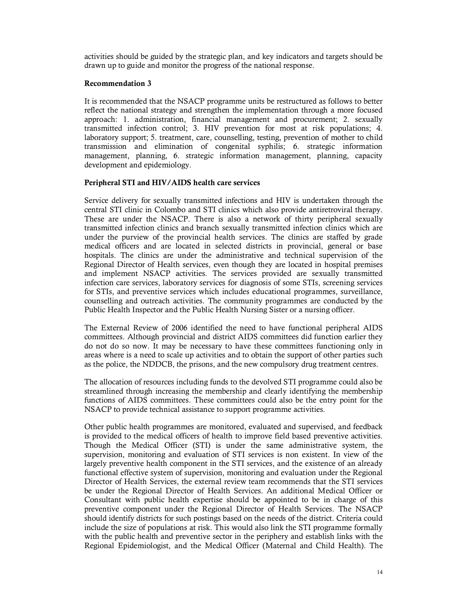activities should be guided by the strategic plan, and key indicators and targets should be drawn up to guide and monitor the progress of the national response.

### **Recommendation 3**

It is recommended that the NSACP programme units be restructured as follows to better reflect the national strategy and strengthen the implementation through a more focused approach: 1. administration, financial management and procurement; 2. sexually transmitted infection control; 3. HIV prevention for most at risk populations; 4. laboratory support; 5. treatment, care, counselling, testing, prevention of mother to child transmission and elimination of congenital syphilis; 6. strategic information management, planning, 6. strategic information management, planning, capacity development and epidemiology.

### **Peripheral STI and HIV/AIDS health care services**

Service delivery for sexually transmitted infections and HIV is undertaken through the central STI clinic in Colombo and STI clinics which also provide antiretroviral therapy. These are under the NSACP. There is also a network of thirty peripheral sexually transmitted infection clinics and branch sexually transmitted infection clinics which are under the purview of the provincial health services. The clinics are staffed by grade medical officers and are located in selected districts in provincial, general or base hospitals. The clinics are under the administrative and technical supervision of the Regional Director of Health services, even though they are located in hospital premises and implement NSACP activities. The services provided are sexually transmitted infection care services, laboratory services for diagnosis of some STIs, screening services for STIs, and preventive services which includes educational programmes, surveillance, counselling and outreach activities. The community programmes are conducted by the Public Health Inspector and the Public Health Nursing Sister or a nursing officer.

The External Review of 2006 identified the need to have functional peripheral AIDS committees. Although provincial and district AIDS committees did function earlier they do not do so now. It may be necessary to have these committees functioning only in areas where is a need to scale up activities and to obtain the support of other parties such as the police, the NDDCB, the prisons, and the new compulsory drug treatment centres.

The allocation of resources including funds to the devolved STI programme could also be streamlined through increasing the membership and clearly identifying the membership functions of AIDS committees. These committees could also be the entry point for the NSACP to provide technical assistance to support programme activities.

Other public health programmes are monitored, evaluated and supervised, and feedback is provided to the medical officers of health to improve field based preventive activities. Though the Medical Officer (STI) is under the same administrative system, the supervision, monitoring and evaluation of STI services is non existent. In view of the largely preventive health component in the STI services, and the existence of an already functional effective system of supervision, monitoring and evaluation under the Regional Director of Health Services, the external review team recommends that the STI services be under the Regional Director of Health Services. An additional Medical Officer or Consultant with public health expertise should be appointed to be in charge of this preventive component under the Regional Director of Health Services. The NSACP should identify districts for such postings based on the needs of the district. Criteria could include the size of populations at risk. This would also link the STI programme formally with the public health and preventive sector in the periphery and establish links with the Regional Epidemiologist, and the Medical Officer (Maternal and Child Health). The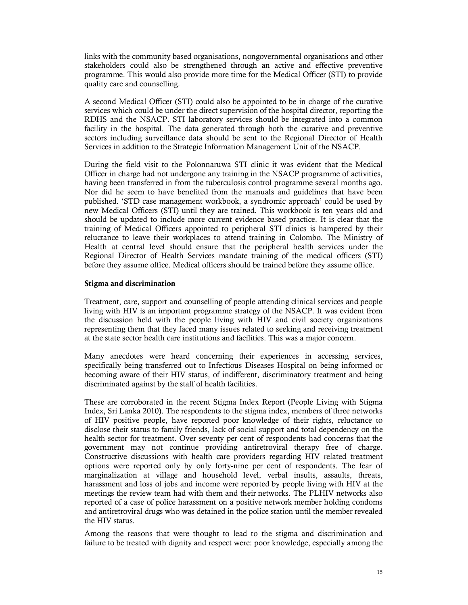links with the community based organisations, nongovernmental organisations and other stakeholders could also be strengthened through an active and effective preventive programme. This would also provide more time for the Medical Officer (STI) to provide quality care and counselling.

A second Medical Officer (STI) could also be appointed to be in charge of the curative services which could be under the direct supervision of the hospital director, reporting the RDHS and the NSACP. STI laboratory services should be integrated into a common facility in the hospital. The data generated through both the curative and preventive sectors including surveillance data should be sent to the Regional Director of Health Services in addition to the Strategic Information Management Unit of the NSACP.

During the field visit to the Polonnaruwa STI clinic it was evident that the Medical Officer in charge had not undergone any training in the NSACP programme of activities, having been transferred in from the tuberculosis control programme several months ago. Nor did he seem to have benefited from the manuals and guidelines that have been published. 'STD case management workbook, a syndromic approach' could be used by new Medical Officers (STI) until they are trained. This workbook is ten years old and should be updated to include more current evidence based practice. It is clear that the training of Medical Officers appointed to peripheral STI clinics is hampered by their reluctance to leave their workplaces to attend training in Colombo. The Ministry of Health at central level should ensure that the peripheral health services under the Regional Director of Health Services mandate training of the medical officers (STI) before they assume office. Medical officers should be trained before they assume office.

#### **Stigma and discrimination**

Treatment, care, support and counselling of people attending clinical services and people living with HIV is an important programme strategy of the NSACP. It was evident from the discussion held with the people living with HIV and civil society organizations representing them that they faced many issues related to seeking and receiving treatment at the state sector health care institutions and facilities. This was a major concern.

Many anecdotes were heard concerning their experiences in accessing services, specifically being transferred out to Infectious Diseases Hospital on being informed or becoming aware of their HIV status, of indifferent, discriminatory treatment and being discriminated against by the staff of health facilities.

These are corroborated in the recent Stigma Index Report (People Living with Stigma Index, Sri Lanka 2010). The respondents to the stigma index, members of three networks of HIV positive people, have reported poor knowledge of their rights, reluctance to disclose their status to family friends, lack of social support and total dependency on the health sector for treatment. Over seventy per cent of respondents had concerns that the government may not continue providing antiretroviral therapy free of charge. Constructive discussions with health care providers regarding HIV related treatment options were reported only by only forty-nine per cent of respondents. The fear of marginalization at village and household level, verbal insults, assaults, threats, harassment and loss of jobs and income were reported by people living with HIV at the meetings the review team had with them and their networks. The PLHIV networks also reported of a case of police harassment on a positive network member holding condoms and antiretroviral drugs who was detained in the police station until the member revealed the HIV status.

Among the reasons that were thought to lead to the stigma and discrimination and failure to be treated with dignity and respect were: poor knowledge, especially among the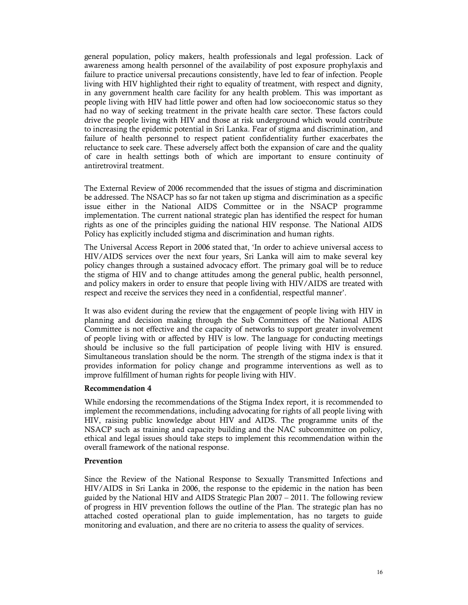general population, policy makers, health professionals and legal profession. Lack of awareness among health personnel of the availability of post exposure prophylaxis and failure to practice universal precautions consistently, have led to fear of infection. People living with HIV highlighted their right to equality of treatment, with respect and dignity, in any government health care facility for any health problem. This was important as people living with HIV had little power and often had low socioeconomic status so they had no way of seeking treatment in the private health care sector. These factors could drive the people living with HIV and those at risk underground which would contribute to increasing the epidemic potential in Sri Lanka. Fear of stigma and discrimination, and failure of health personnel to respect patient confidentiality further exacerbates the reluctance to seek care. These adversely affect both the expansion of care and the quality of care in health settings both of which are important to ensure continuity of antiretroviral treatment.

The External Review of 2006 recommended that the issues of stigma and discrimination be addressed. The NSACP has so far not taken up stigma and discrimination as a specific issue either in the National AIDS Committee or in the NSACP programme implementation. The current national strategic plan has identified the respect for human rights as one of the principles guiding the national HIV response. The National AIDS Policy has explicitly included stigma and discrimination and human rights.

The Universal Access Report in 2006 stated that, 'In order to achieve universal access to HIV/AIDS services over the next four years, Sri Lanka will aim to make several key policy changes through a sustained advocacy effort. The primary goal will be to reduce the stigma of HIV and to change attitudes among the general public, health personnel, and policy makers in order to ensure that people living with HIV/AIDS are treated with respect and receive the services they need in a confidential, respectful manner'.

It was also evident during the review that the engagement of people living with HIV in planning and decision making through the Sub Committees of the National AIDS Committee is not effective and the capacity of networks to support greater involvement of people living with or affected by HIV is low. The language for conducting meetings should be inclusive so the full participation of people living with HIV is ensured. Simultaneous translation should be the norm. The strength of the stigma index is that it provides information for policy change and programme interventions as well as to improve fulfillment of human rights for people living with HIV.

### **Recommendation 4**

While endorsing the recommendations of the Stigma Index report, it is recommended to implement the recommendations, including advocating for rights of all people living with HIV, raising public knowledge about HIV and AIDS. The programme units of the NSACP such as training and capacity building and the NAC subcommittee on policy, ethical and legal issues should take steps to implement this recommendation within the overall framework of the national response.

#### **Prevention**

Since the Review of the National Response to Sexually Transmitted Infections and HIV/AIDS in Sri Lanka in 2006, the response to the epidemic in the nation has been guided by the National HIV and AIDS Strategic Plan 2007 – 2011. The following review of progress in HIV prevention follows the outline of the Plan. The strategic plan has no attached costed operational plan to guide implementation, has no targets to guide monitoring and evaluation, and there are no criteria to assess the quality of services.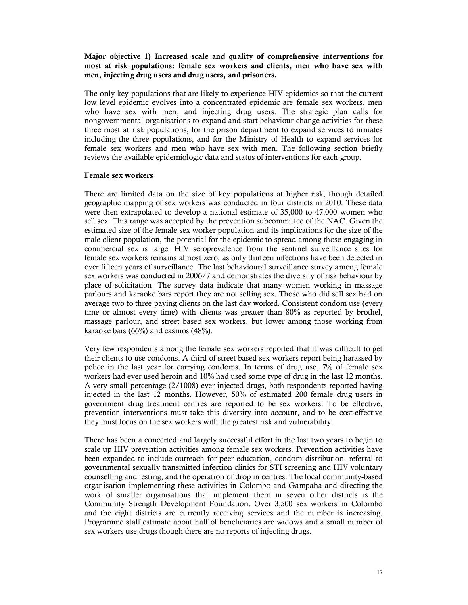### **Major objective 1) Increased scale and quality of comprehensive interventions for most at risk populations: female sex workers and clients, men who have sex with men, injecting drug users and drug users, and prisoners.**

The only key populations that are likely to experience HIV epidemics so that the current low level epidemic evolves into a concentrated epidemic are female sex workers, men who have sex with men, and injecting drug users. The strategic plan calls for nongovernmental organisations to expand and start behaviour change activities for these three most at risk populations, for the prison department to expand services to inmates including the three populations, and for the Ministry of Health to expand services for female sex workers and men who have sex with men. The following section briefly reviews the available epidemiologic data and status of interventions for each group.

#### **Female sex workers**

There are limited data on the size of key populations at higher risk, though detailed geographic mapping of sex workers was conducted in four districts in 2010. These data were then extrapolated to develop a national estimate of 35,000 to 47,000 women who sell sex. This range was accepted by the prevention subcommittee of the NAC. Given the estimated size of the female sex worker population and its implications for the size of the male client population, the potential for the epidemic to spread among those engaging in commercial sex is large. HIV seroprevalence from the sentinel surveillance sites for female sex workers remains almost zero, as only thirteen infections have been detected in over fifteen years of surveillance. The last behavioural surveillance survey among female sex workers was conducted in 2006/7 and demonstrates the diversity of risk behaviour by place of solicitation. The survey data indicate that many women working in massage parlours and karaoke bars report they are not selling sex. Those who did sell sex had on average two to three paying clients on the last day worked. Consistent condom use (every time or almost every time) with clients was greater than 80% as reported by brothel, massage parlour, and street based sex workers, but lower among those working from karaoke bars (66%) and casinos (48%).

Very few respondents among the female sex workers reported that it was difficult to get their clients to use condoms. A third of street based sex workers report being harassed by police in the last year for carrying condoms. In terms of drug use, 7% of female sex workers had ever used heroin and 10% had used some type of drug in the last 12 months. A very small percentage (2/1008) ever injected drugs, both respondents reported having injected in the last 12 months. However, 50% of estimated 200 female drug users in government drug treatment centres are reported to be sex workers. To be effective, prevention interventions must take this diversity into account, and to be cost-effective they must focus on the sex workers with the greatest risk and vulnerability.

There has been a concerted and largely successful effort in the last two years to begin to scale up HIV prevention activities among female sex workers. Prevention activities have been expanded to include outreach for peer education, condom distribution, referral to governmental sexually transmitted infection clinics for STI screening and HIV voluntary counselling and testing, and the operation of drop in centres. The local community-based organisation implementing these activities in Colombo and Gampaha and directing the work of smaller organisations that implement them in seven other districts is the Community Strength Development Foundation. Over 3,500 sex workers in Colombo and the eight districts are currently receiving services and the number is increasing. Programme staff estimate about half of beneficiaries are widows and a small number of sex workers use drugs though there are no reports of injecting drugs.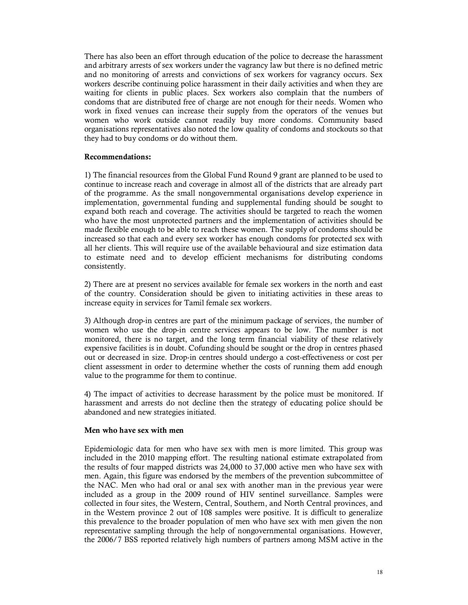There has also been an effort through education of the police to decrease the harassment and arbitrary arrests of sex workers under the vagrancy law but there is no defined metric and no monitoring of arrests and convictions of sex workers for vagrancy occurs. Sex workers describe continuing police harassment in their daily activities and when they are waiting for clients in public places. Sex workers also complain that the numbers of condoms that are distributed free of charge are not enough for their needs. Women who work in fixed venues can increase their supply from the operators of the venues but women who work outside cannot readily buy more condoms. Community based organisations representatives also noted the low quality of condoms and stockouts so that they had to buy condoms or do without them.

### **Recommendations:**

1) The financial resources from the Global Fund Round 9 grant are planned to be used to continue to increase reach and coverage in almost all of the districts that are already part of the programme. As the small nongovernmental organisations develop experience in implementation, governmental funding and supplemental funding should be sought to expand both reach and coverage. The activities should be targeted to reach the women who have the most unprotected partners and the implementation of activities should be made flexible enough to be able to reach these women. The supply of condoms should be increased so that each and every sex worker has enough condoms for protected sex with all her clients. This will require use of the available behavioural and size estimation data to estimate need and to develop efficient mechanisms for distributing condoms consistently.

2) There are at present no services available for female sex workers in the north and east of the country. Consideration should be given to initiating activities in these areas to increase equity in services for Tamil female sex workers.

3) Although drop-in centres are part of the minimum package of services, the number of women who use the drop-in centre services appears to be low. The number is not monitored, there is no target, and the long term financial viability of these relatively expensive facilities is in doubt. Cofunding should be sought or the drop in centres phased out or decreased in size. Drop-in centres should undergo a cost-effectiveness or cost per client assessment in order to determine whether the costs of running them add enough value to the programme for them to continue.

4) The impact of activities to decrease harassment by the police must be monitored. If harassment and arrests do not decline then the strategy of educating police should be abandoned and new strategies initiated.

#### **Men who have sex with men**

Epidemiologic data for men who have sex with men is more limited. This group was included in the 2010 mapping effort. The resulting national estimate extrapolated from the results of four mapped districts was 24,000 to 37,000 active men who have sex with men. Again, this figure was endorsed by the members of the prevention subcommittee of the NAC. Men who had oral or anal sex with another man in the previous year were included as a group in the 2009 round of HIV sentinel surveillance. Samples were collected in four sites, the Western, Central, Southern, and North Central provinces, and in the Western province 2 out of 108 samples were positive. It is difficult to generalize this prevalence to the broader population of men who have sex with men given the non representative sampling through the help of nongovernmental organisations. However, the 2006/7 BSS reported relatively high numbers of partners among MSM active in the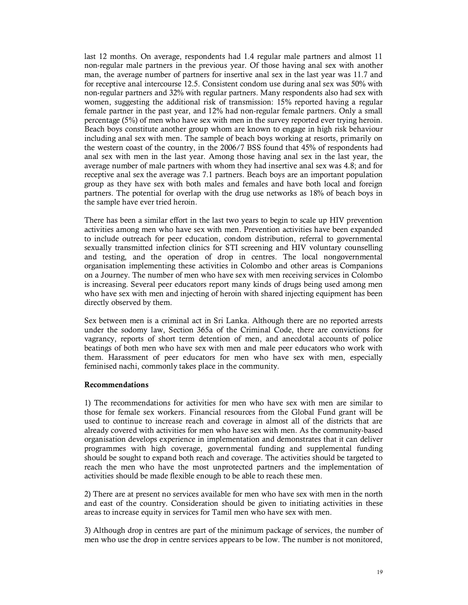last 12 months. On average, respondents had 1.4 regular male partners and almost 11 non-regular male partners in the previous year. Of those having anal sex with another man, the average number of partners for insertive anal sex in the last year was 11.7 and for receptive anal intercourse 12.5. Consistent condom use during anal sex was 50% with non-regular partners and 32% with regular partners. Many respondents also had sex with women, suggesting the additional risk of transmission: 15% reported having a regular female partner in the past year, and 12% had non-regular female partners. Only a small percentage (5%) of men who have sex with men in the survey reported ever trying heroin. Beach boys constitute another group whom are known to engage in high risk behaviour including anal sex with men. The sample of beach boys working at resorts, primarily on the western coast of the country, in the 2006/7 BSS found that 45% of respondents had anal sex with men in the last year. Among those having anal sex in the last year, the average number of male partners with whom they had insertive anal sex was 4.8; and for receptive anal sex the average was 7.1 partners. Beach boys are an important population group as they have sex with both males and females and have both local and foreign partners. The potential for overlap with the drug use networks as 18% of beach boys in the sample have ever tried heroin.

There has been a similar effort in the last two years to begin to scale up HIV prevention activities among men who have sex with men. Prevention activities have been expanded to include outreach for peer education, condom distribution, referral to governmental sexually transmitted infection clinics for STI screening and HIV voluntary counselling and testing, and the operation of drop in centres. The local nongovernmental organisation implementing these activities in Colombo and other areas is Companions on a Journey. The number of men who have sex with men receiving services in Colombo is increasing. Several peer educators report many kinds of drugs being used among men who have sex with men and injecting of heroin with shared injecting equipment has been directly observed by them.

Sex between men is a criminal act in Sri Lanka. Although there are no reported arrests under the sodomy law, Section 365a of the Criminal Code, there are convictions for vagrancy, reports of short term detention of men, and anecdotal accounts of police beatings of both men who have sex with men and male peer educators who work with them. Harassment of peer educators for men who have sex with men, especially feminised nachi, commonly takes place in the community.

#### **Recommendations**

1) The recommendations for activities for men who have sex with men are similar to those for female sex workers. Financial resources from the Global Fund grant will be used to continue to increase reach and coverage in almost all of the districts that are already covered with activities for men who have sex with men. As the community-based organisation develops experience in implementation and demonstrates that it can deliver programmes with high coverage, governmental funding and supplemental funding should be sought to expand both reach and coverage. The activities should be targeted to reach the men who have the most unprotected partners and the implementation of activities should be made flexible enough to be able to reach these men.

2) There are at present no services available for men who have sex with men in the north and east of the country. Consideration should be given to initiating activities in these areas to increase equity in services for Tamil men who have sex with men.

3) Although drop in centres are part of the minimum package of services, the number of men who use the drop in centre services appears to be low. The number is not monitored,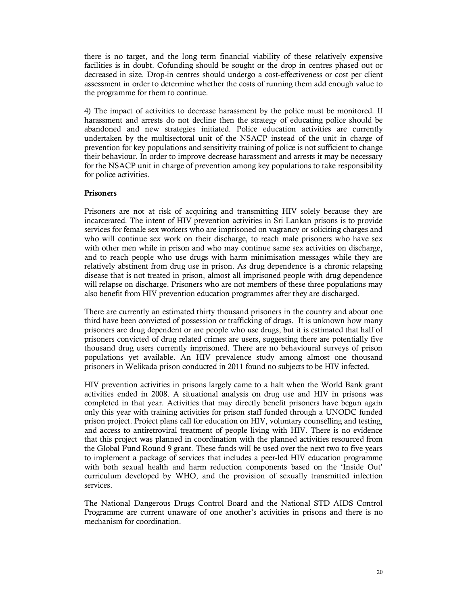there is no target, and the long term financial viability of these relatively expensive facilities is in doubt. Cofunding should be sought or the drop in centres phased out or decreased in size. Drop-in centres should undergo a cost-effectiveness or cost per client assessment in order to determine whether the costs of running them add enough value to the programme for them to continue.

4) The impact of activities to decrease harassment by the police must be monitored. If harassment and arrests do not decline then the strategy of educating police should be abandoned and new strategies initiated. Police education activities are currently undertaken by the multisectoral unit of the NSACP instead of the unit in charge of prevention for key populations and sensitivity training of police is not sufficient to change their behaviour. In order to improve decrease harassment and arrests it may be necessary for the NSACP unit in charge of prevention among key populations to take responsibility for police activities.

### **Prisoners**

Prisoners are not at risk of acquiring and transmitting HIV solely because they are incarcerated. The intent of HIV prevention activities in Sri Lankan prisons is to provide services for female sex workers who are imprisoned on vagrancy or soliciting charges and who will continue sex work on their discharge, to reach male prisoners who have sex with other men while in prison and who may continue same sex activities on discharge, and to reach people who use drugs with harm minimisation messages while they are relatively abstinent from drug use in prison. As drug dependence is a chronic relapsing disease that is not treated in prison, almost all imprisoned people with drug dependence will relapse on discharge. Prisoners who are not members of these three populations may also benefit from HIV prevention education programmes after they are discharged.

There are currently an estimated thirty thousand prisoners in the country and about one third have been convicted of possession or trafficking of drugs. It is unknown how many prisoners are drug dependent or are people who use drugs, but it is estimated that half of prisoners convicted of drug related crimes are users, suggesting there are potentially five thousand drug users currently imprisoned. There are no behavioural surveys of prison populations yet available. An HIV prevalence study among almost one thousand prisoners in Welikada prison conducted in 2011 found no subjects to be HIV infected.

HIV prevention activities in prisons largely came to a halt when the World Bank grant activities ended in 2008. A situational analysis on drug use and HIV in prisons was completed in that year. Activities that may directly benefit prisoners have begun again only this year with training activities for prison staff funded through a UNODC funded prison project. Project plans call for education on HIV, voluntary counselling and testing, and access to antiretroviral treatment of people living with HIV. There is no evidence that this project was planned in coordination with the planned activities resourced from the Global Fund Round 9 grant. These funds will be used over the next two to five years to implement a package of services that includes a peer-led HIV education programme with both sexual health and harm reduction components based on the 'Inside Out' curriculum developed by WHO, and the provision of sexually transmitted infection services.

The National Dangerous Drugs Control Board and the National STD AIDS Control Programme are current unaware of one another's activities in prisons and there is no mechanism for coordination.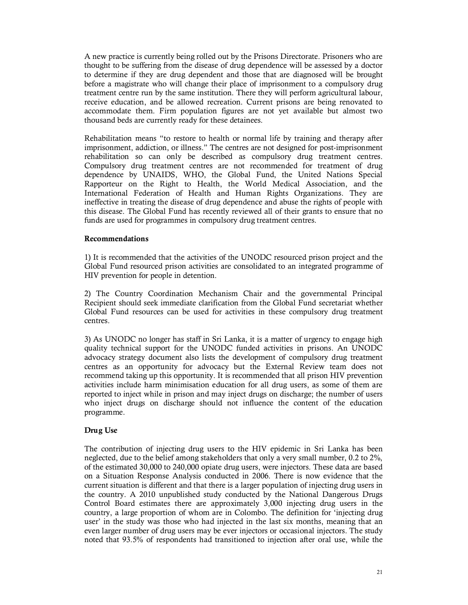A new practice is currently being rolled out by the Prisons Directorate. Prisoners who are thought to be suffering from the disease of drug dependence will be assessed by a doctor to determine if they are drug dependent and those that are diagnosed will be brought before a magistrate who will change their place of imprisonment to a compulsory drug treatment centre run by the same institution. There they will perform agricultural labour, receive education, and be allowed recreation. Current prisons are being renovated to accommodate them. Firm population figures are not yet available but almost two thousand beds are currently ready for these detainees.

Rehabilitation means "to restore to health or normal life by training and therapy after imprisonment, addiction, or illness." The centres are not designed for post-imprisonment rehabilitation so can only be described as compulsory drug treatment centres. Compulsory drug treatment centres are not recommended for treatment of drug dependence by UNAIDS, WHO, the Global Fund, the United Nations Special Rapporteur on the Right to Health, the World Medical Association, and the International Federation of Health and Human Rights Organizations. They are ineffective in treating the disease of drug dependence and abuse the rights of people with this disease. The Global Fund has recently reviewed all of their grants to ensure that no funds are used for programmes in compulsory drug treatment centres.

### **Recommendations**

1) It is recommended that the activities of the UNODC resourced prison project and the Global Fund resourced prison activities are consolidated to an integrated programme of HIV prevention for people in detention.

2) The Country Coordination Mechanism Chair and the governmental Principal Recipient should seek immediate clarification from the Global Fund secretariat whether Global Fund resources can be used for activities in these compulsory drug treatment centres.

3) As UNODC no longer has staff in Sri Lanka, it is a matter of urgency to engage high quality technical support for the UNODC funded activities in prisons. An UNODC advocacy strategy document also lists the development of compulsory drug treatment centres as an opportunity for advocacy but the External Review team does not recommend taking up this opportunity. It is recommended that all prison HIV prevention activities include harm minimisation education for all drug users, as some of them are reported to inject while in prison and may inject drugs on discharge; the number of users who inject drugs on discharge should not influence the content of the education programme.

### **Drug Use**

The contribution of injecting drug users to the HIV epidemic in Sri Lanka has been neglected, due to the belief among stakeholders that only a very small number, 0.2 to 2%, of the estimated 30,000 to 240,000 opiate drug users, were injectors. These data are based on a Situation Response Analysis conducted in 2006. There is now evidence that the current situation is different and that there is a larger population of injecting drug users in the country. A 2010 unpublished study conducted by the National Dangerous Drugs Control Board estimates there are approximately 3,000 injecting drug users in the country, a large proportion of whom are in Colombo. The definition for 'injecting drug user' in the study was those who had injected in the last six months, meaning that an even larger number of drug users may be ever injectors or occasional injectors. The study noted that 93.5% of respondents had transitioned to injection after oral use, while the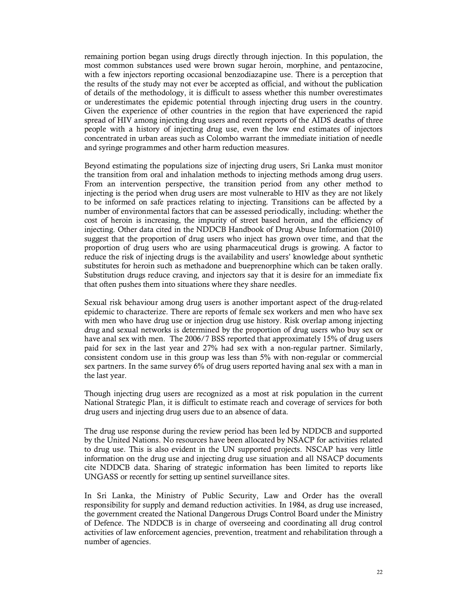remaining portion began using drugs directly through injection. In this population, the most common substances used were brown sugar heroin, morphine, and pentazocine, with a few injectors reporting occasional benzodiazapine use. There is a perception that the results of the study may not ever be accepted as official, and without the publication of details of the methodology, it is difficult to assess whether this number overestimates or underestimates the epidemic potential through injecting drug users in the country. Given the experience of other countries in the region that have experienced the rapid spread of HIV among injecting drug users and recent reports of the AIDS deaths of three people with a history of injecting drug use, even the low end estimates of injectors concentrated in urban areas such as Colombo warrant the immediate initiation of needle and syringe programmes and other harm reduction measures.

Beyond estimating the populations size of injecting drug users, Sri Lanka must monitor the transition from oral and inhalation methods to injecting methods among drug users. From an intervention perspective, the transition period from any other method to injecting is the period when drug users are most vulnerable to HIV as they are not likely to be informed on safe practices relating to injecting. Transitions can be affected by a number of environmental factors that can be assessed periodically, including: whether the cost of heroin is increasing, the impurity of street based heroin, and the efficiency of injecting. Other data cited in the NDDCB Handbook of Drug Abuse Information (2010) suggest that the proportion of drug users who inject has grown over time, and that the proportion of drug users who are using pharmaceutical drugs is growing. A factor to reduce the risk of injecting drugs is the availability and users' knowledge about synthetic substitutes for heroin such as methadone and bueprenorphine which can be taken orally. Substitution drugs reduce craving, and injectors say that it is desire for an immediate fix that often pushes them into situations where they share needles.

Sexual risk behaviour among drug users is another important aspect of the drug-related epidemic to characterize. There are reports of female sex workers and men who have sex with men who have drug use or injection drug use history. Risk overlap among injecting drug and sexual networks is determined by the proportion of drug users who buy sex or have anal sex with men. The 2006/7 BSS reported that approximately 15% of drug users paid for sex in the last year and 27% had sex with a non-regular partner. Similarly, consistent condom use in this group was less than 5% with non-regular or commercial sex partners. In the same survey 6% of drug users reported having anal sex with a man in the last year.

Though injecting drug users are recognized as a most at risk population in the current National Strategic Plan, it is difficult to estimate reach and coverage of services for both drug users and injecting drug users due to an absence of data.

The drug use response during the review period has been led by NDDCB and supported by the United Nations. No resources have been allocated by NSACP for activities related to drug use. This is also evident in the UN supported projects. NSCAP has very little information on the drug use and injecting drug use situation and all NSACP documents cite NDDCB data. Sharing of strategic information has been limited to reports like UNGASS or recently for setting up sentinel surveillance sites.

In Sri Lanka, the Ministry of Public Security, Law and Order has the overall responsibility for supply and demand reduction activities. In 1984, as drug use increased, the government created the National Dangerous Drugs Control Board under the Ministry of Defence. The NDDCB is in charge of overseeing and coordinating all drug control activities of law enforcement agencies, prevention, treatment and rehabilitation through a number of agencies.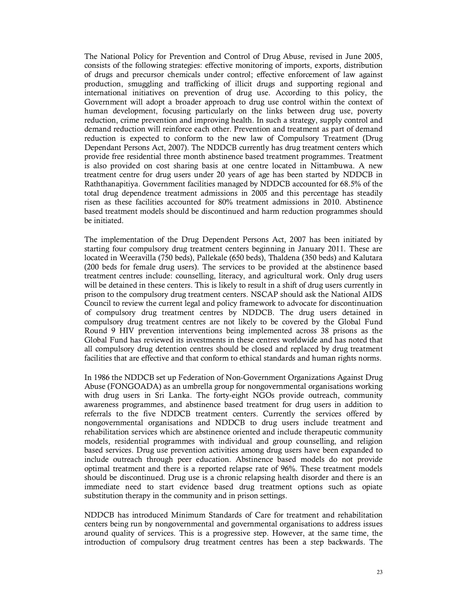The National Policy for Prevention and Control of Drug Abuse, revised in June 2005, consists of the following strategies: effective monitoring of imports, exports, distribution of drugs and precursor chemicals under control; effective enforcement of law against production, smuggling and trafficking of illicit drugs and supporting regional and international initiatives on prevention of drug use. According to this policy, the Government will adopt a broader approach to drug use control within the context of human development, focusing particularly on the links between drug use, poverty reduction, crime prevention and improving health. In such a strategy, supply control and demand reduction will reinforce each other. Prevention and treatment as part of demand reduction is expected to conform to the new law of Compulsory Treatment (Drug Dependant Persons Act, 2007). The NDDCB currently has drug treatment centers which provide free residential three month abstinence based treatment programmes. Treatment is also provided on cost sharing basis at one centre located in Nittambuwa. A new treatment centre for drug users under 20 years of age has been started by NDDCB in Raththanapitiya. Government facilities managed by NDDCB accounted for 68.5% of the total drug dependence treatment admissions in 2005 and this percentage has steadily risen as these facilities accounted for 80% treatment admissions in 2010. Abstinence based treatment models should be discontinued and harm reduction programmes should be initiated.

The implementation of the Drug Dependent Persons Act, 2007 has been initiated by starting four compulsory drug treatment centers beginning in January 2011. These are located in Weeravilla (750 beds), Pallekale (650 beds), Thaldena (350 beds) and Kalutara (200 beds for female drug users). The services to be provided at the abstinence based treatment centres include: counselling, literacy, and agricultural work. Only drug users will be detained in these centers. This is likely to result in a shift of drug users currently in prison to the compulsory drug treatment centers. NSCAP should ask the National AIDS Council to review the current legal and policy framework to advocate for discontinuation of compulsory drug treatment centres by NDDCB. The drug users detained in compulsory drug treatment centres are not likely to be covered by the Global Fund Round 9 HIV prevention interventions being implemented across 38 prisons as the Global Fund has reviewed its investments in these centres worldwide and has noted that all compulsory drug detention centres should be closed and replaced by drug treatment facilities that are effective and that conform to ethical standards and human rights norms.

In 1986 the NDDCB set up Federation of Non-Government Organizations Against Drug Abuse (FONGOADA) as an umbrella group for nongovernmental organisations working with drug users in Sri Lanka. The forty-eight NGOs provide outreach, community awareness programmes, and abstinence based treatment for drug users in addition to referrals to the five NDDCB treatment centers. Currently the services offered by nongovernmental organisations and NDDCB to drug users include treatment and rehabilitation services which are abstinence oriented and include therapeutic community models, residential programmes with individual and group counselling, and religion based services. Drug use prevention activities among drug users have been expanded to include outreach through peer education. Abstinence based models do not provide optimal treatment and there is a reported relapse rate of 96%. These treatment models should be discontinued. Drug use is a chronic relapsing health disorder and there is an immediate need to start evidence based drug treatment options such as opiate substitution therapy in the community and in prison settings.

NDDCB has introduced Minimum Standards of Care for treatment and rehabilitation centers being run by nongovernmental and governmental organisations to address issues around quality of services. This is a progressive step. However, at the same time, the introduction of compulsory drug treatment centres has been a step backwards. The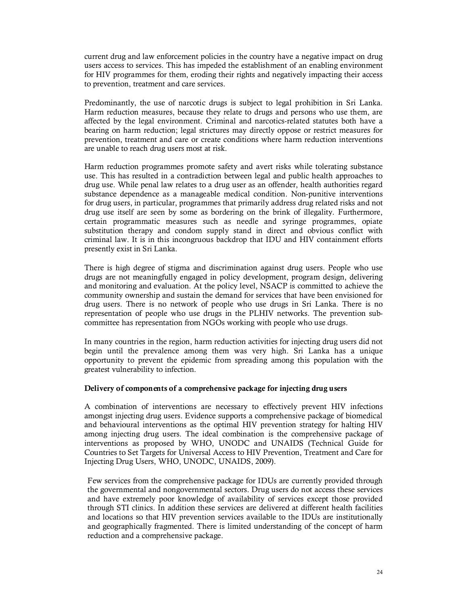current drug and law enforcement policies in the country have a negative impact on drug users access to services. This has impeded the establishment of an enabling environment for HIV programmes for them, eroding their rights and negatively impacting their access to prevention, treatment and care services.

Predominantly, the use of narcotic drugs is subject to legal prohibition in Sri Lanka. Harm reduction measures, because they relate to drugs and persons who use them, are affected by the legal environment. Criminal and narcotics-related statutes both have a bearing on harm reduction; legal strictures may directly oppose or restrict measures for prevention, treatment and care or create conditions where harm reduction interventions are unable to reach drug users most at risk.

Harm reduction programmes promote safety and avert risks while tolerating substance use. This has resulted in a contradiction between legal and public health approaches to drug use. While penal law relates to a drug user as an offender, health authorities regard substance dependence as a manageable medical condition. Non-punitive interventions for drug users, in particular, programmes that primarily address drug related risks and not drug use itself are seen by some as bordering on the brink of illegality. Furthermore, certain programmatic measures such as needle and syringe programmes, opiate substitution therapy and condom supply stand in direct and obvious conflict with criminal law. It is in this incongruous backdrop that IDU and HIV containment efforts presently exist in Sri Lanka.

There is high degree of stigma and discrimination against drug users. People who use drugs are not meaningfully engaged in policy development, program design, delivering and monitoring and evaluation. At the policy level, NSACP is committed to achieve the community ownership and sustain the demand for services that have been envisioned for drug users. There is no network of people who use drugs in Sri Lanka. There is no representation of people who use drugs in the PLHIV networks. The prevention subcommittee has representation from NGOs working with people who use drugs.

In many countries in the region, harm reduction activities for injecting drug users did not begin until the prevalence among them was very high. Sri Lanka has a unique opportunity to prevent the epidemic from spreading among this population with the greatest vulnerability to infection.

### **Delivery of components of a comprehensive package for injecting drug users**

A combination of interventions are necessary to effectively prevent HIV infections amongst injecting drug users. Evidence supports a comprehensive package of biomedical and behavioural interventions as the optimal HIV prevention strategy for halting HIV among injecting drug users. The ideal combination is the comprehensive package of interventions as proposed by WHO, UNODC and UNAIDS (Technical Guide for Countries to Set Targets for Universal Access to HIV Prevention, Treatment and Care for Injecting Drug Users, WHO, UNODC, UNAIDS, 2009).

Few services from the comprehensive package for IDUs are currently provided through the governmental and nongovernmental sectors. Drug users do not access these services and have extremely poor knowledge of availability of services except those provided through STI clinics. In addition these services are delivered at different health facilities and locations so that HIV prevention services available to the IDUs are institutionally and geographically fragmented. There is limited understanding of the concept of harm reduction and a comprehensive package.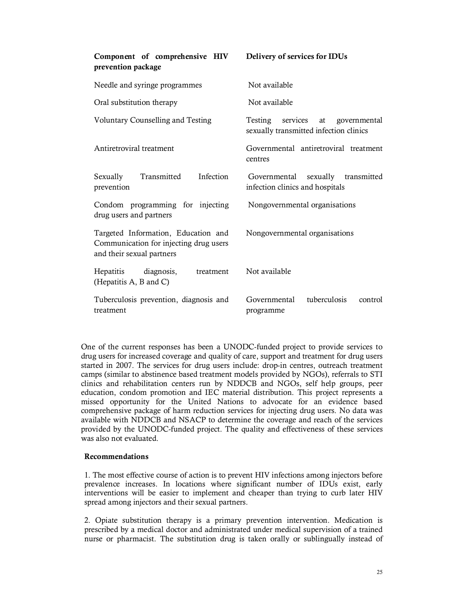| Component of comprehensive HIV<br>prevention package                                                       | Delivery of services for IDUs                                              |  |  |  |  |
|------------------------------------------------------------------------------------------------------------|----------------------------------------------------------------------------|--|--|--|--|
| Needle and syringe programmes                                                                              | Not available                                                              |  |  |  |  |
| Oral substitution therapy                                                                                  | Not available                                                              |  |  |  |  |
| <b>Voluntary Counselling and Testing</b>                                                                   | Testing services at governmental<br>sexually transmitted infection clinics |  |  |  |  |
| Antiretroviral treatment                                                                                   | Governmental antiretroviral treatment<br>centres                           |  |  |  |  |
| Transmitted<br>Infection<br>Sexually<br>prevention                                                         | sexually transmitted<br>Governmental<br>infection clinics and hospitals    |  |  |  |  |
| Condom programming for injecting<br>drug users and partners                                                | Nongovernmental organisations                                              |  |  |  |  |
| Targeted Information, Education and<br>Communication for injecting drug users<br>and their sexual partners | Nongovernmental organisations                                              |  |  |  |  |
| Hepatitis<br>diagnosis,<br>treatment<br>(Hepatitis A, B and C)                                             | Not available                                                              |  |  |  |  |
| Tuberculosis prevention, diagnosis and<br>treatment                                                        | tuberculosis<br>Governmental<br>control<br>programme                       |  |  |  |  |

One of the current responses has been a UNODC-funded project to provide services to drug users for increased coverage and quality of care, support and treatment for drug users started in 2007. The services for drug users include: drop-in centres, outreach treatment camps (similar to abstinence based treatment models provided by NGOs), referrals to STI clinics and rehabilitation centers run by NDDCB and NGOs, self help groups, peer education, condom promotion and IEC material distribution. This project represents a missed opportunity for the United Nations to advocate for an evidence based comprehensive package of harm reduction services for injecting drug users. No data was available with NDDCB and NSACP to determine the coverage and reach of the services provided by the UNODC-funded project. The quality and effectiveness of these services was also not evaluated.

### **Recommendations**

1. The most effective course of action is to prevent HIV infections among injectors before prevalence increases. In locations where significant number of IDUs exist, early interventions will be easier to implement and cheaper than trying to curb later HIV spread among injectors and their sexual partners.

2. Opiate substitution therapy is a primary prevention intervention. Medication is prescribed by a medical doctor and administrated under medical supervision of a trained nurse or pharmacist. The substitution drug is taken orally or sublingually instead of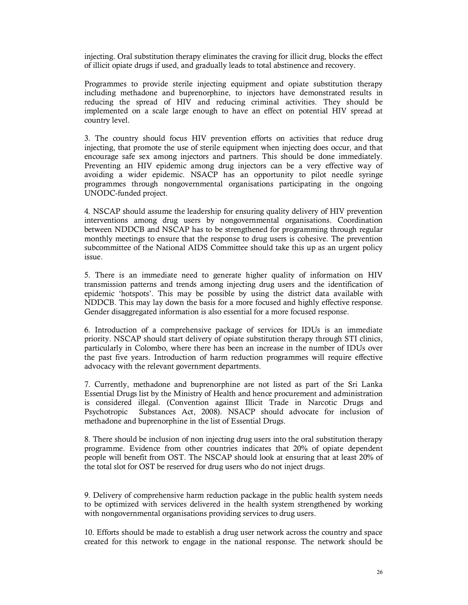injecting. Oral substitution therapy eliminates the craving for illicit drug, blocks the effect of illicit opiate drugs if used, and gradually leads to total abstinence and recovery.

Programmes to provide sterile injecting equipment and opiate substitution therapy including methadone and buprenorphine, to injectors have demonstrated results in reducing the spread of HIV and reducing criminal activities. They should be implemented on a scale large enough to have an effect on potential HIV spread at country level.

3. The country should focus HIV prevention efforts on activities that reduce drug injecting, that promote the use of sterile equipment when injecting does occur, and that encourage safe sex among injectors and partners. This should be done immediately. Preventing an HIV epidemic among drug injectors can be a very effective way of avoiding a wider epidemic. NSACP has an opportunity to pilot needle syringe programmes through nongovernmental organisations participating in the ongoing UNODC-funded project.

4. NSCAP should assume the leadership for ensuring quality delivery of HIV prevention interventions among drug users by nongovernmental organisations. Coordination between NDDCB and NSCAP has to be strengthened for programming through regular monthly meetings to ensure that the response to drug users is cohesive. The prevention subcommittee of the National AIDS Committee should take this up as an urgent policy issue.

5. There is an immediate need to generate higher quality of information on HIV transmission patterns and trends among injecting drug users and the identification of epidemic 'hotspots'. This may be possible by using the district data available with NDDCB. This may lay down the basis for a more focused and highly effective response. Gender disaggregated information is also essential for a more focused response.

6. Introduction of a comprehensive package of services for IDUs is an immediate priority. NSCAP should start delivery of opiate substitution therapy through STI clinics, particularly in Colombo, where there has been an increase in the number of IDUs over the past five years. Introduction of harm reduction programmes will require effective advocacy with the relevant government departments.

7. Currently, methadone and buprenorphine are not listed as part of the Sri Lanka Essential Drugs list by the Ministry of Health and hence procurement and administration is considered illegal. (Convention against Illicit Trade in Narcotic Drugs and Psychotropic Substances Act, 2008). NSACP should advocate for inclusion of methadone and buprenorphine in the list of Essential Drugs.

8. There should be inclusion of non injecting drug users into the oral substitution therapy programme. Evidence from other countries indicates that 20% of opiate dependent people will benefit from OST. The NSCAP should look at ensuring that at least 20% of the total slot for OST be reserved for drug users who do not inject drugs.

9. Delivery of comprehensive harm reduction package in the public health system needs to be optimized with services delivered in the health system strengthened by working with nongovernmental organisations providing services to drug users.

10. Efforts should be made to establish a drug user network across the country and space created for this network to engage in the national response. The network should be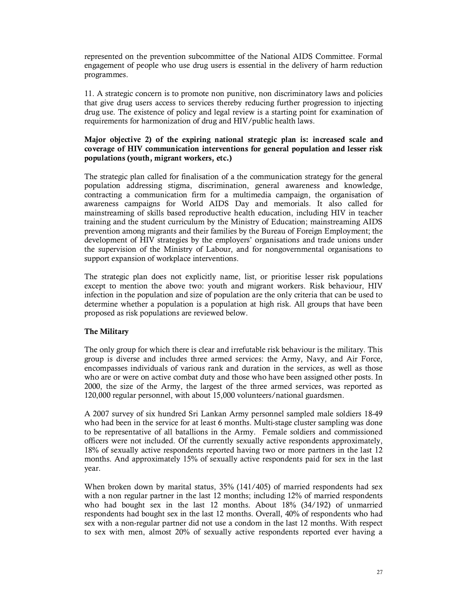represented on the prevention subcommittee of the National AIDS Committee. Formal engagement of people who use drug users is essential in the delivery of harm reduction programmes.

11. A strategic concern is to promote non punitive, non discriminatory laws and policies that give drug users access to services thereby reducing further progression to injecting drug use. The existence of policy and legal review is a starting point for examination of requirements for harmonization of drug and HIV/public health laws.

# **Major objective 2) of the expiring national strategic plan is: increased scale and coverage of HIV communication interventions for general population and lesser risk populations (youth, migrant workers, etc.)**

The strategic plan called for finalisation of a the communication strategy for the general population addressing stigma, discrimination, general awareness and knowledge, contracting a communication firm for a multimedia campaign, the organisation of awareness campaigns for World AIDS Day and memorials. It also called for mainstreaming of skills based reproductive health education, including HIV in teacher training and the student curriculum by the Ministry of Education; mainstreaming AIDS prevention among migrants and their families by the Bureau of Foreign Employment; the development of HIV strategies by the employers' organisations and trade unions under the supervision of the Ministry of Labour, and for nongovernmental organisations to support expansion of workplace interventions.

The strategic plan does not explicitly name, list, or prioritise lesser risk populations except to mention the above two: youth and migrant workers. Risk behaviour, HIV infection in the population and size of population are the only criteria that can be used to determine whether a population is a population at high risk. All groups that have been proposed as risk populations are reviewed below.

# **The Military**

The only group for which there is clear and irrefutable risk behaviour is the military. This group is diverse and includes three armed services: the Army, Navy, and Air Force, encompasses individuals of various rank and duration in the services, as well as those who are or were on active combat duty and those who have been assigned other posts. In 2000, the size of the Army, the largest of the three armed services, was reported as 120,000 regular personnel, with about 15,000 volunteers/national guardsmen.

A 2007 survey of six hundred Sri Lankan Army personnel sampled male soldiers 18-49 who had been in the service for at least 6 months. Multi-stage cluster sampling was done to be representative of all batallions in the Army. Female soldiers and commissioned officers were not included. Of the currently sexually active respondents approximately, 18% of sexually active respondents reported having two or more partners in the last 12 months. And approximately 15% of sexually active respondents paid for sex in the last year.

When broken down by marital status, 35% (141/405) of married respondents had sex with a non regular partner in the last 12 months; including 12% of married respondents who had bought sex in the last 12 months. About 18% (34/192) of unmarried respondents had bought sex in the last 12 months. Overall, 40% of respondents who had sex with a non-regular partner did not use a condom in the last 12 months. With respect to sex with men, almost 20% of sexually active respondents reported ever having a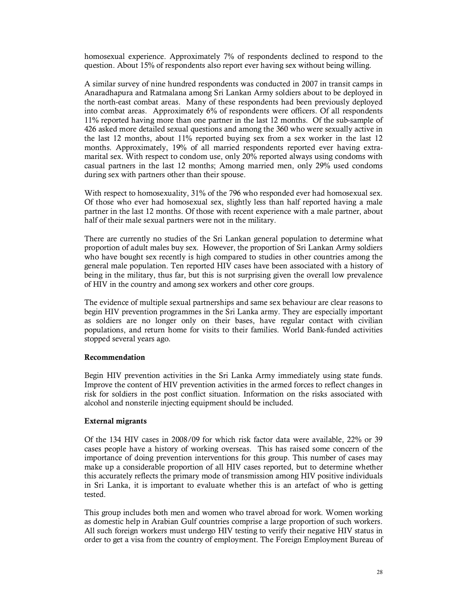homosexual experience. Approximately 7% of respondents declined to respond to the question. About 15% of respondents also report ever having sex without being willing.

A similar survey of nine hundred respondents was conducted in 2007 in transit camps in Anaradhapura and Ratmalana among Sri Lankan Army soldiers about to be deployed in the north-east combat areas. Many of these respondents had been previously deployed into combat areas. Approximately 6% of respondents were officers. Of all respondents 11% reported having more than one partner in the last 12 months. Of the sub-sample of 426 asked more detailed sexual questions and among the 360 who were sexually active in the last 12 months, about 11% reported buying sex from a sex worker in the last 12 months. Approximately, 19% of all married respondents reported ever having extramarital sex. With respect to condom use, only 20% reported always using condoms with casual partners in the last 12 months; Among married men, only 29% used condoms during sex with partners other than their spouse.

With respect to homosexuality, 31% of the 796 who responded ever had homosexual sex. Of those who ever had homosexual sex, slightly less than half reported having a male partner in the last 12 months. Of those with recent experience with a male partner, about half of their male sexual partners were not in the military.

There are currently no studies of the Sri Lankan general population to determine what proportion of adult males buy sex. However, the proportion of Sri Lankan Army soldiers who have bought sex recently is high compared to studies in other countries among the general male population. Ten reported HIV cases have been associated with a history of being in the military, thus far, but this is not surprising given the overall low prevalence of HIV in the country and among sex workers and other core groups.

The evidence of multiple sexual partnerships and same sex behaviour are clear reasons to begin HIV prevention programmes in the Sri Lanka army. They are especially important as soldiers are no longer only on their bases, have regular contact with civilian populations, and return home for visits to their families. World Bank-funded activities stopped several years ago.

### **Recommendation**

Begin HIV prevention activities in the Sri Lanka Army immediately using state funds. Improve the content of HIV prevention activities in the armed forces to reflect changes in risk for soldiers in the post conflict situation. Information on the risks associated with alcohol and nonsterile injecting equipment should be included.

### **External migrants**

Of the 134 HIV cases in 2008/09 for which risk factor data were available, 22% or 39 cases people have a history of working overseas. This has raised some concern of the importance of doing prevention interventions for this group. This number of cases may make up a considerable proportion of all HIV cases reported, but to determine whether this accurately reflects the primary mode of transmission among HIV positive individuals in Sri Lanka, it is important to evaluate whether this is an artefact of who is getting tested.

This group includes both men and women who travel abroad for work. Women working as domestic help in Arabian Gulf countries comprise a large proportion of such workers. All such foreign workers must undergo HIV testing to verify their negative HIV status in order to get a visa from the country of employment. The Foreign Employment Bureau of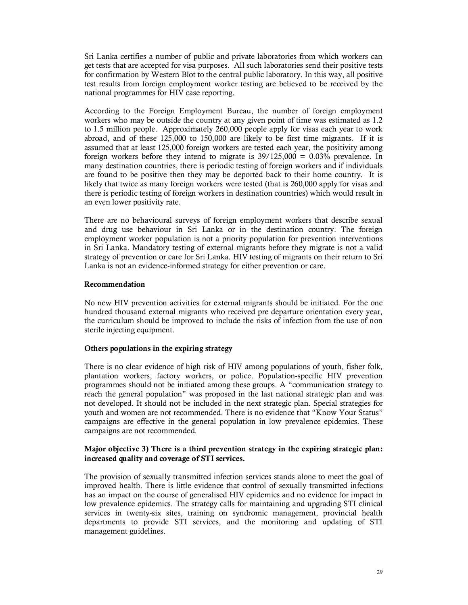Sri Lanka certifies a number of public and private laboratories from which workers can get tests that are accepted for visa purposes. All such laboratories send their positive tests for confirmation by Western Blot to the central public laboratory. In this way, all positive test results from foreign employment worker testing are believed to be received by the national programmes for HIV case reporting.

According to the Foreign Employment Bureau, the number of foreign employment workers who may be outside the country at any given point of time was estimated as 1.2 to 1.5 million people. Approximately 260,000 people apply for visas each year to work abroad, and of these 125,000 to 150,000 are likely to be first time migrants. If it is assumed that at least 125,000 foreign workers are tested each year, the positivity among foreign workers before they intend to migrate is  $39/125,000 = 0.03\%$  prevalence. In many destination countries, there is periodic testing of foreign workers and if individuals are found to be positive then they may be deported back to their home country. It is likely that twice as many foreign workers were tested (that is 260,000 apply for visas and there is periodic testing of foreign workers in destination countries) which would result in an even lower positivity rate.

There are no behavioural surveys of foreign employment workers that describe sexual and drug use behaviour in Sri Lanka or in the destination country. The foreign employment worker population is not a priority population for prevention interventions in Sri Lanka. Mandatory testing of external migrants before they migrate is not a valid strategy of prevention or care for Sri Lanka. HIV testing of migrants on their return to Sri Lanka is not an evidence-informed strategy for either prevention or care.

### **Recommendation**

No new HIV prevention activities for external migrants should be initiated. For the one hundred thousand external migrants who received pre departure orientation every year, the curriculum should be improved to include the risks of infection from the use of non sterile injecting equipment.

# **Others populations in the expiring strategy**

There is no clear evidence of high risk of HIV among populations of youth, fisher folk, plantation workers, factory workers, or police. Population-specific HIV prevention programmes should not be initiated among these groups. A "communication strategy to reach the general population" was proposed in the last national strategic plan and was not developed. It should not be included in the next strategic plan. Special strategies for youth and women are not recommended. There is no evidence that "Know Your Status" campaigns are effective in the general population in low prevalence epidemics. These campaigns are not recommended.

### **Major objective 3) There is a third prevention strategy in the expiring strategic plan: increased quality and coverage of STI services.**

The provision of sexually transmitted infection services stands alone to meet the goal of improved health. There is little evidence that control of sexually transmitted infections has an impact on the course of generalised HIV epidemics and no evidence for impact in low prevalence epidemics. The strategy calls for maintaining and upgrading STI clinical services in twenty-six sites, training on syndromic management, provincial health departments to provide STI services, and the monitoring and updating of STI management guidelines.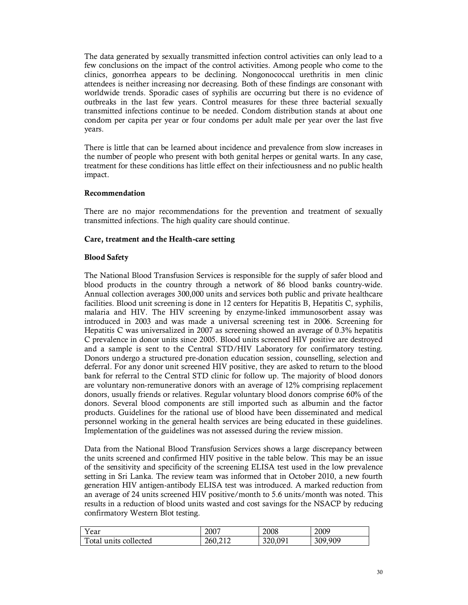The data generated by sexually transmitted infection control activities can only lead to a few conclusions on the impact of the control activities. Among people who come to the clinics, gonorrhea appears to be declining. Nongonococcal urethritis in men clinic attendees is neither increasing nor decreasing. Both of these findings are consonant with worldwide trends. Sporadic cases of syphilis are occurring but there is no evidence of outbreaks in the last few years. Control measures for these three bacterial sexually transmitted infections continue to be needed. Condom distribution stands at about one condom per capita per year or four condoms per adult male per year over the last five years.

There is little that can be learned about incidence and prevalence from slow increases in the number of people who present with both genital herpes or genital warts. In any case, treatment for these conditions has little effect on their infectiousness and no public health impact.

### **Recommendation**

There are no major recommendations for the prevention and treatment of sexually transmitted infections. The high quality care should continue.

### **Care, treatment and the Health-care setting**

### **Blood Safety**

The National Blood Transfusion Services is responsible for the supply of safer blood and blood products in the country through a network of 86 blood banks country-wide. Annual collection averages 300,000 units and services both public and private healthcare facilities. Blood unit screening is done in 12 centers for Hepatitis B, Hepatitis C, syphilis, malaria and HIV. The HIV screening by enzyme-linked immunosorbent assay was introduced in 2003 and was made a universal screening test in 2006. Screening for Hepatitis C was universalized in 2007 as screening showed an average of 0.3% hepatitis C prevalence in donor units since 2005. Blood units screened HIV positive are destroyed and a sample is sent to the Central STD/HIV Laboratory for confirmatory testing. Donors undergo a structured pre-donation education session, counselling, selection and deferral. For any donor unit screened HIV positive, they are asked to return to the blood bank for referral to the Central STD clinic for follow up. The majority of blood donors are voluntary non-remunerative donors with an average of 12% comprising replacement donors, usually friends or relatives. Regular voluntary blood donors comprise 60% of the donors. Several blood components are still imported such as albumin and the factor products. Guidelines for the rational use of blood have been disseminated and medical personnel working in the general health services are being educated in these guidelines. Implementation of the guidelines was not assessed during the review mission.

Data from the National Blood Transfusion Services shows a large discrepancy between the units screened and confirmed HIV positive in the table below. This may be an issue of the sensitivity and specificity of the screening ELISA test used in the low prevalence setting in Sri Lanka. The review team was informed that in October 2010, a new fourth generation HIV antigen-antibody ELISA test was introduced. A marked reduction from an average of 24 units screened HIV positive/month to 5.6 units/month was noted. This results in a reduction of blood units wasted and cost savings for the NSACP by reducing confirmatory Western Blot testing.

| Year                  | 2007    | 2008                      | 2009    |
|-----------------------|---------|---------------------------|---------|
| Total units collected | 260.212 | 320.091<br><i>JL</i> U.VJ | 309,909 |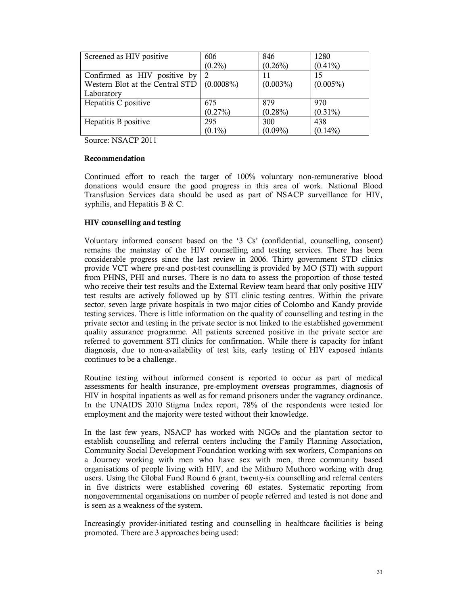| Screened as HIV positive                     | 606        | 846         | 1280        |
|----------------------------------------------|------------|-------------|-------------|
|                                              | $(0.2\%)$  | $(0.26\%)$  | $(0.41\%)$  |
| Confirmed as HIV positive by                 | 2          | 11          | 15          |
| Western Blot at the Central STD $(0.0008\%)$ |            | $(0.003\%)$ | $(0.005\%)$ |
| Laboratory                                   |            |             |             |
| Hepatitis C positive                         | 675        | 879         | 970         |
|                                              | $(0.27\%)$ | $(0.28\%)$  | $(0.31\%)$  |
| Hepatitis B positive                         | 295        | 300         | 438         |
|                                              | $(0.1\%)$  | $(0.09\%)$  | $(0.14\%)$  |

Source: NSACP 2011

### **Recommendation**

Continued effort to reach the target of 100% voluntary non-remunerative blood donations would ensure the good progress in this area of work. National Blood Transfusion Services data should be used as part of NSACP surveillance for HIV, syphilis, and Hepatitis B & C.

# **HIV counselling and testing**

Voluntary informed consent based on the '3 Cs' (confidential, counselling, consent) remains the mainstay of the HIV counselling and testing services. There has been considerable progress since the last review in 2006. Thirty government STD clinics provide VCT where pre-and post-test counselling is provided by MO (STI) with support from PHNS, PHI and nurses. There is no data to assess the proportion of those tested who receive their test results and the External Review team heard that only positive HIV test results are actively followed up by STI clinic testing centres. Within the private sector, seven large private hospitals in two major cities of Colombo and Kandy provide testing services. There is little information on the quality of counselling and testing in the private sector and testing in the private sector is not linked to the established government quality assurance programme. All patients screened positive in the private sector are referred to government STI clinics for confirmation. While there is capacity for infant diagnosis, due to non-availability of test kits, early testing of HIV exposed infants continues to be a challenge.

Routine testing without informed consent is reported to occur as part of medical assessments for health insurance, pre-employment overseas programmes, diagnosis of HIV in hospital inpatients as well as for remand prisoners under the vagrancy ordinance. In the UNAIDS 2010 Stigma Index report, 78% of the respondents were tested for employment and the majority were tested without their knowledge.

In the last few years, NSACP has worked with NGOs and the plantation sector to establish counselling and referral centers including the Family Planning Association, Community Social Development Foundation working with sex workers, Companions on a Journey working with men who have sex with men, three community based organisations of people living with HIV, and the Mithuro Muthoro working with drug users. Using the Global Fund Round 6 grant, twenty-six counselling and referral centers in five districts were established covering 60 estates. Systematic reporting from nongovernmental organisations on number of people referred and tested is not done and is seen as a weakness of the system.

Increasingly provider-initiated testing and counselling in healthcare facilities is being promoted. There are 3 approaches being used: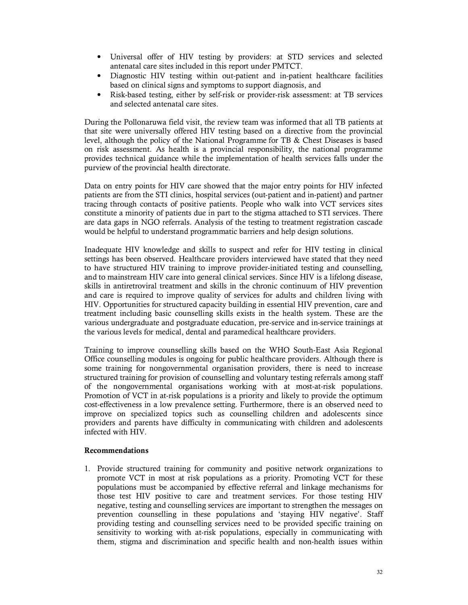- Universal offer of HIV testing by providers: at STD services and selected antenatal care sites included in this report under PMTCT.
- Diagnostic HIV testing within out-patient and in-patient healthcare facilities based on clinical signs and symptoms to support diagnosis, and
- Risk-based testing, either by self-risk or provider-risk assessment: at TB services and selected antenatal care sites.

During the Pollonaruwa field visit, the review team was informed that all TB patients at that site were universally offered HIV testing based on a directive from the provincial level, although the policy of the National Programme for TB & Chest Diseases is based on risk assessment. As health is a provincial responsibility, the national programme provides technical guidance while the implementation of health services falls under the purview of the provincial health directorate.

Data on entry points for HIV care showed that the major entry points for HIV infected patients are from the STI clinics, hospital services (out-patient and in-patient) and partner tracing through contacts of positive patients. People who walk into VCT services sites constitute a minority of patients due in part to the stigma attached to STI services. There are data gaps in NGO referrals. Analysis of the testing to treatment registration cascade would be helpful to understand programmatic barriers and help design solutions.

Inadequate HIV knowledge and skills to suspect and refer for HIV testing in clinical settings has been observed. Healthcare providers interviewed have stated that they need to have structured HIV training to improve provider-initiated testing and counselling, and to mainstream HIV care into general clinical services. Since HIV is a lifelong disease, skills in antiretroviral treatment and skills in the chronic continuum of HIV prevention and care is required to improve quality of services for adults and children living with HIV. Opportunities for structured capacity building in essential HIV prevention, care and treatment including basic counselling skills exists in the health system. These are the various undergraduate and postgraduate education, pre-service and in-service trainings at the various levels for medical, dental and paramedical healthcare providers.

Training to improve counselling skills based on the WHO South-East Asia Regional Office counselling modules is ongoing for public healthcare providers. Although there is some training for nongovernmental organisation providers, there is need to increase structured training for provision of counselling and voluntary testing referrals among staff of the nongovernmental organisations working with at most-at-risk populations. Promotion of VCT in at-risk populations is a priority and likely to provide the optimum cost-effectiveness in a low prevalence setting. Furthermore, there is an observed need to improve on specialized topics such as counselling children and adolescents since providers and parents have difficulty in communicating with children and adolescents infected with HIV.

### **Recommendations**

1. Provide structured training for community and positive network organizations to promote VCT in most at risk populations as a priority. Promoting VCT for these populations must be accompanied by effective referral and linkage mechanisms for those test HIV positive to care and treatment services. For those testing HIV negative, testing and counselling services are important to strengthen the messages on prevention counselling in these populations and 'staying HIV negative'. Staff providing testing and counselling services need to be provided specific training on sensitivity to working with at-risk populations, especially in communicating with them, stigma and discrimination and specific health and non-health issues within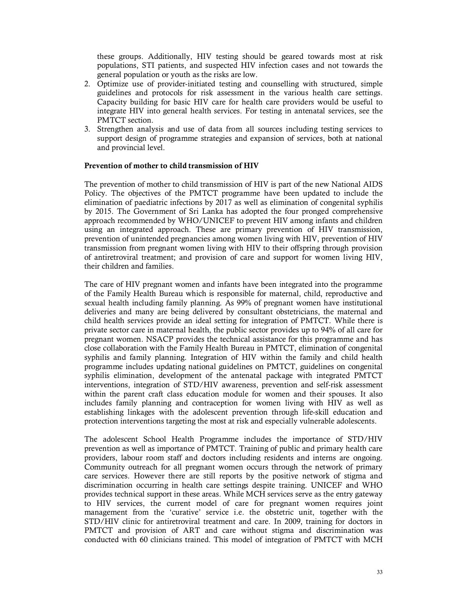these groups. Additionally, HIV testing should be geared towards most at risk populations, STI patients, and suspected HIV infection cases and not towards the general population or youth as the risks are low.

- 2. Optimize use of provider-initiated testing and counselling with structured, simple guidelines and protocols for risk assessment in the various health care settings. Capacity building for basic HIV care for health care providers would be useful to integrate HIV into general health services. For testing in antenatal services, see the PMTCT section.
- 3. Strengthen analysis and use of data from all sources including testing services to support design of programme strategies and expansion of services, both at national and provincial level.

### **Prevention of mother to child transmission of HIV**

The prevention of mother to child transmission of HIV is part of the new National AIDS Policy. The objectives of the PMTCT programme have been updated to include the elimination of paediatric infections by 2017 as well as elimination of congenital syphilis by 2015. The Government of Sri Lanka has adopted the four pronged comprehensive approach recommended by WHO/UNICEF to prevent HIV among infants and children using an integrated approach. These are primary prevention of HIV transmission, prevention of unintended pregnancies among women living with HIV, prevention of HIV transmission from pregnant women living with HIV to their offspring through provision of antiretroviral treatment; and provision of care and support for women living HIV, their children and families.

The care of HIV pregnant women and infants have been integrated into the programme of the Family Health Bureau which is responsible for maternal, child, reproductive and sexual health including family planning. As 99% of pregnant women have institutional deliveries and many are being delivered by consultant obstetricians, the maternal and child health services provide an ideal setting for integration of PMTCT. While there is private sector care in maternal health, the public sector provides up to 94% of all care for pregnant women. NSACP provides the technical assistance for this programme and has close collaboration with the Family Health Bureau in PMTCT, elimination of congenital syphilis and family planning. Integration of HIV within the family and child health programme includes updating national guidelines on PMTCT, guidelines on congenital syphilis elimination, development of the antenatal package with integrated PMTCT interventions, integration of STD/HIV awareness, prevention and self-risk assessment within the parent craft class education module for women and their spouses. It also includes family planning and contraception for women living with HIV as well as establishing linkages with the adolescent prevention through life-skill education and protection interventions targeting the most at risk and especially vulnerable adolescents.

The adolescent School Health Programme includes the importance of STD/HIV prevention as well as importance of PMTCT. Training of public and primary health care providers, labour room staff and doctors including residents and interns are ongoing. Community outreach for all pregnant women occurs through the network of primary care services. However there are still reports by the positive network of stigma and discrimination occurring in health care settings despite training. UNICEF and WHO provides technical support in these areas. While MCH services serve as the entry gateway to HIV services, the current model of care for pregnant women requires joint management from the 'curative' service i.e. the obstetric unit, together with the STD/HIV clinic for antiretroviral treatment and care. In 2009, training for doctors in PMTCT and provision of ART and care without stigma and discrimination was conducted with 60 clinicians trained. This model of integration of PMTCT with MCH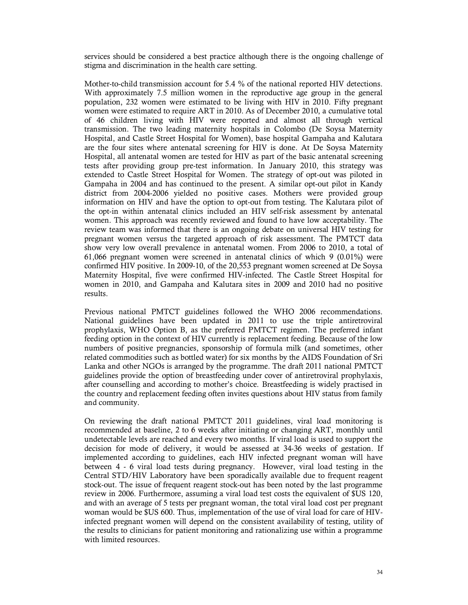services should be considered a best practice although there is the ongoing challenge of stigma and discrimination in the health care setting.

Mother-to-child transmission account for 5.4 % of the national reported HIV detections. With approximately 7.5 million women in the reproductive age group in the general population, 232 women were estimated to be living with HIV in 2010. Fifty pregnant women were estimated to require ART in 2010. As of December 2010, a cumulative total of 46 children living with HIV were reported and almost all through vertical transmission. The two leading maternity hospitals in Colombo (De Soysa Maternity Hospital, and Castle Street Hospital for Women), base hospital Gampaha and Kalutara are the four sites where antenatal screening for HIV is done. At De Soysa Maternity Hospital, all antenatal women are tested for HIV as part of the basic antenatal screening tests after providing group pre-test information. In January 2010, this strategy was extended to Castle Street Hospital for Women. The strategy of opt-out was piloted in Gampaha in 2004 and has continued to the present. A similar opt-out pilot in Kandy district from 2004-2006 yielded no positive cases. Mothers were provided group information on HIV and have the option to opt-out from testing. The Kalutara pilot of the opt-in within antenatal clinics included an HIV self-risk assessment by antenatal women. This approach was recently reviewed and found to have low acceptability. The review team was informed that there is an ongoing debate on universal HIV testing for pregnant women versus the targeted approach of risk assessment. The PMTCT data show very low overall prevalence in antenatal women. From 2006 to 2010, a total of 61,066 pregnant women were screened in antenatal clinics of which 9 (0.01%) were confirmed HIV positive. In 2009-10, of the 20,553 pregnant women screened at De Soysa Maternity Hospital, five were confirmed HIV-infected. The Castle Street Hospital for women in 2010, and Gampaha and Kalutara sites in 2009 and 2010 had no positive results.

Previous national PMTCT guidelines followed the WHO 2006 recommendations. National guidelines have been updated in 2011 to use the triple antiretroviral prophylaxis, WHO Option B, as the preferred PMTCT regimen. The preferred infant feeding option in the context of HIV currently is replacement feeding. Because of the low numbers of positive pregnancies, sponsorship of formula milk (and sometimes, other related commodities such as bottled water) for six months by the AIDS Foundation of Sri Lanka and other NGOs is arranged by the programme. The draft 2011 national PMTCT guidelines provide the option of breastfeeding under cover of antiretroviral prophylaxis, after counselling and according to mother's choice. Breastfeeding is widely practised in the country and replacement feeding often invites questions about HIV status from family and community.

On reviewing the draft national PMTCT 2011 guidelines, viral load monitoring is recommended at baseline, 2 to 6 weeks after initiating or changing ART, monthly until undetectable levels are reached and every two months. If viral load is used to support the decision for mode of delivery, it would be assessed at 34-36 weeks of gestation. If implemented according to guidelines, each HIV infected pregnant woman will have between 4 - 6 viral load tests during pregnancy. However, viral load testing in the Central STD/HIV Laboratory have been sporadically available due to frequent reagent stock-out. The issue of frequent reagent stock-out has been noted by the last programme review in 2006. Furthermore, assuming a viral load test costs the equivalent of \$US 120, and with an average of 5 tests per pregnant woman, the total viral load cost per pregnant woman would be \$US 600. Thus, implementation of the use of viral load for care of HIVinfected pregnant women will depend on the consistent availability of testing, utility of the results to clinicians for patient monitoring and rationalizing use within a programme with limited resources.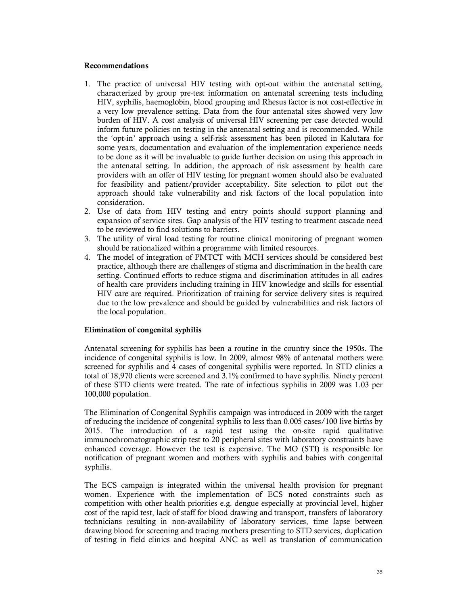### **Recommendations**

- 1. The practice of universal HIV testing with opt-out within the antenatal setting, characterized by group pre-test information on antenatal screening tests including HIV, syphilis, haemoglobin, blood grouping and Rhesus factor is not cost-effective in a very low prevalence setting. Data from the four antenatal sites showed very low burden of HIV. A cost analysis of universal HIV screening per case detected would inform future policies on testing in the antenatal setting and is recommended. While the 'opt-in' approach using a self-risk assessment has been piloted in Kalutara for some years, documentation and evaluation of the implementation experience needs to be done as it will be invaluable to guide further decision on using this approach in the antenatal setting. In addition, the approach of risk assessment by health care providers with an offer of HIV testing for pregnant women should also be evaluated for feasibility and patient/provider acceptability. Site selection to pilot out the approach should take vulnerability and risk factors of the local population into consideration.
- 2. Use of data from HIV testing and entry points should support planning and expansion of service sites. Gap analysis of the HIV testing to treatment cascade need to be reviewed to find solutions to barriers.
- 3. The utility of viral load testing for routine clinical monitoring of pregnant women should be rationalized within a programme with limited resources.
- 4. The model of integration of PMTCT with MCH services should be considered best practice, although there are challenges of stigma and discrimination in the health care setting. Continued efforts to reduce stigma and discrimination attitudes in all cadres of health care providers including training in HIV knowledge and skills for essential HIV care are required. Prioritization of training for service delivery sites is required due to the low prevalence and should be guided by vulnerabilities and risk factors of the local population.

### **Elimination of congenital syphilis**

Antenatal screening for syphilis has been a routine in the country since the 1950s. The incidence of congenital syphilis is low. In 2009, almost 98% of antenatal mothers were screened for syphilis and 4 cases of congenital syphilis were reported. In STD clinics a total of 18,970 clients were screened and 3.1% confirmed to have syphilis. Ninety percent of these STD clients were treated. The rate of infectious syphilis in 2009 was 1.03 per 100,000 population.

The Elimination of Congenital Syphilis campaign was introduced in 2009 with the target of reducing the incidence of congenital syphilis to less than 0.005 cases/100 live births by 2015. The introduction of a rapid test using the on-site rapid qualitative immunochromatographic strip test to 20 peripheral sites with laboratory constraints have enhanced coverage. However the test is expensive. The MO (STI) is responsible for notification of pregnant women and mothers with syphilis and babies with congenital syphilis.

The ECS campaign is integrated within the universal health provision for pregnant women. Experience with the implementation of ECS noted constraints such as competition with other health priorities e.g. dengue especially at provincial level, higher cost of the rapid test, lack of staff for blood drawing and transport, transfers of laboratory technicians resulting in non-availability of laboratory services, time lapse between drawing blood for screening and tracing mothers presenting to STD services, duplication of testing in field clinics and hospital ANC as well as translation of communication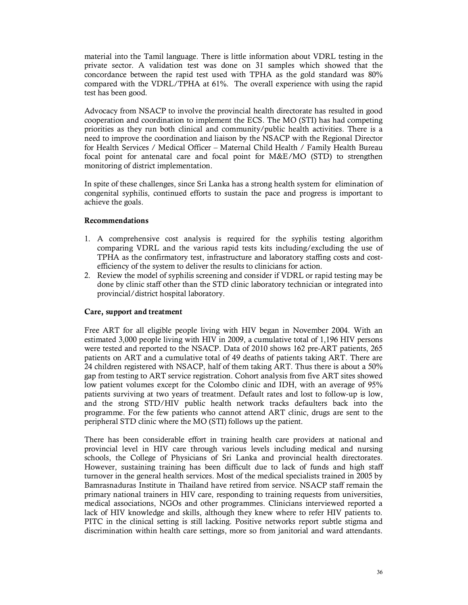material into the Tamil language. There is little information about VDRL testing in the private sector. A validation test was done on 31 samples which showed that the concordance between the rapid test used with TPHA as the gold standard was 80% compared with the VDRL/TPHA at 61%. The overall experience with using the rapid test has been good.

Advocacy from NSACP to involve the provincial health directorate has resulted in good cooperation and coordination to implement the ECS. The MO (STI) has had competing priorities as they run both clinical and community/public health activities. There is a need to improve the coordination and liaison by the NSACP with the Regional Director for Health Services / Medical Officer – Maternal Child Health / Family Health Bureau focal point for antenatal care and focal point for M&E/MO (STD) to strengthen monitoring of district implementation.

In spite of these challenges, since Sri Lanka has a strong health system for elimination of congenital syphilis, continued efforts to sustain the pace and progress is important to achieve the goals.

### **Recommendations**

- 1. A comprehensive cost analysis is required for the syphilis testing algorithm comparing VDRL and the various rapid tests kits including/excluding the use of TPHA as the confirmatory test, infrastructure and laboratory staffing costs and costefficiency of the system to deliver the results to clinicians for action.
- 2. Review the model of syphilis screening and consider if VDRL or rapid testing may be done by clinic staff other than the STD clinic laboratory technician or integrated into provincial/district hospital laboratory.

### **Care, support and treatment**

Free ART for all eligible people living with HIV began in November 2004. With an estimated 3,000 people living with HIV in 2009, a cumulative total of 1,196 HIV persons were tested and reported to the NSACP. Data of 2010 shows 162 pre-ART patients, 265 patients on ART and a cumulative total of 49 deaths of patients taking ART. There are 24 children registered with NSACP, half of them taking ART. Thus there is about a 50% gap from testing to ART service registration. Cohort analysis from five ART sites showed low patient volumes except for the Colombo clinic and IDH, with an average of 95% patients surviving at two years of treatment. Default rates and lost to follow-up is low, and the strong STD/HIV public health network tracks defaulters back into the programme. For the few patients who cannot attend ART clinic, drugs are sent to the peripheral STD clinic where the MO (STI) follows up the patient.

There has been considerable effort in training health care providers at national and provincial level in HIV care through various levels including medical and nursing schools, the College of Physicians of Sri Lanka and provincial health directorates. However, sustaining training has been difficult due to lack of funds and high staff turnover in the general health services. Most of the medical specialists trained in 2005 by Bamrasnaduras Institute in Thailand have retired from service. NSACP staff remain the primary national trainers in HIV care, responding to training requests from universities, medical associations, NGOs and other programmes. Clinicians interviewed reported a lack of HIV knowledge and skills, although they knew where to refer HIV patients to. PITC in the clinical setting is still lacking. Positive networks report subtle stigma and discrimination within health care settings, more so from janitorial and ward attendants.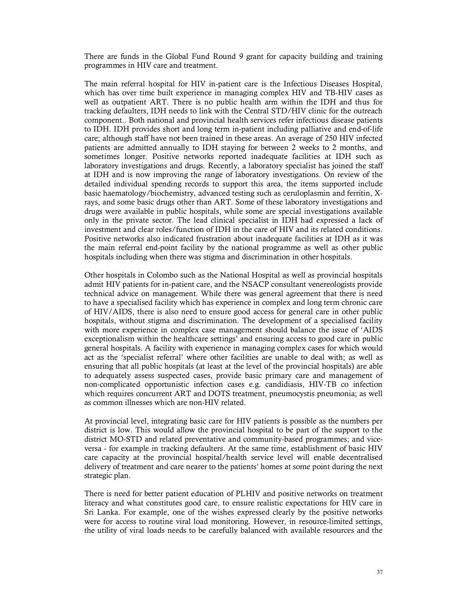There are funds in the Global Fund Round 9 grant for capacity building and training programmes in HIV care and treatment.

The main referral hospital for HIV in-patient care is the Infectious Diseases Hospital, which has over time built experience in managing complex HIV and TB-HIV cases as well as outpatient ART. There is no public health arm within the IDH and thus for tracking defaulters, IDH needs to link with the Central STD/HIV clinic for the outreach component.. Both national and provincial health services refer infectious disease patients to IDH. IDH provides short and long term in-patient including palliative and end-of-life care; although staff have not been trained in these areas. An average of 250 HIV infected patients are admitted annually to IDH staying for between 2 weeks to 2 months, and sometimes longer. Positive networks reported inadequate facilities at IDH such as laboratory investigations and drugs. Recently, a laboratory specialist has joined the staff at IDH and is now improving the range of laboratory investigations. On review of the detailed individual spending records to support this area, the items supported include basic haematology/biochemistry, advanced testing such as ceruloplasmin and ferritin, Xrays, and some basic drugs other than ART. Some of these laboratory investigations and drugs were available in public hospitals, while some are special investigations available only in the private sector. The lead clinical specialist in IDH had expressed a lack of investment and clear roles/function of IDH in the care of HIV and its related conditions. Positive networks also indicated frustration about inadequate facilities at IDH as it was the main referral end-point facility by the national programme as well as other public hospitals including when there was stigma and discrimination in other hospitals.

Other hospitals in Colombo such as the National Hospital as well as provincial hospitals admit HIV patients for in-patient care, and the NSACP consultant venereologists provide technical advice on management. While there was general agreement that there is need to have a specialised facility which has experience in complex and long term chronic care of HIV/AIDS, there is also need to ensure good access for general care in other public hospitals, without stigma and discrimination. The development of a specialised facility with more experience in complex case management should balance the issue of 'AIDS exceptionalism within the healthcare settings' and ensuring access to good care in public general hospitals. A facility with experience in managing complex cases for which would act as the 'specialist referral' where other facilities are unable to deal with; as well as ensuring that all public hospitals (at least at the level of the provincial hospitals) are able to adequately assess suspected cases, provide basic primary care and management of non-complicated opportunistic infection cases e.g. candidiasis, HIV-TB co infection which requires concurrent ART and DOTS treatment, pneumocystis pneumonia; as well as common illnesses which are non-HIV related.

At provincial level, integrating basic care for HIV patients is possible as the numbers per district is low. This would allow the provincial hospital to be part of the support to the district MO-STD and related preventative and community-based programmes; and viceversa - for example in tracking defaulters. At the same time, establishment of basic HIV care capacity at the provincial hospital/health service level will enable decentralised delivery of treatment and care nearer to the patients' homes at some point during the next strategic plan.

There is need for better patient education of PLHIV and positive networks on treatment literacy and what constitutes good care, to ensure realistic expectations for HIV care in Sri Lanka. For example, one of the wishes expressed clearly by the positive networks were for access to routine viral load monitoring. However, in resource-limited settings, the utility of viral loads needs to be carefully balanced with available resources and the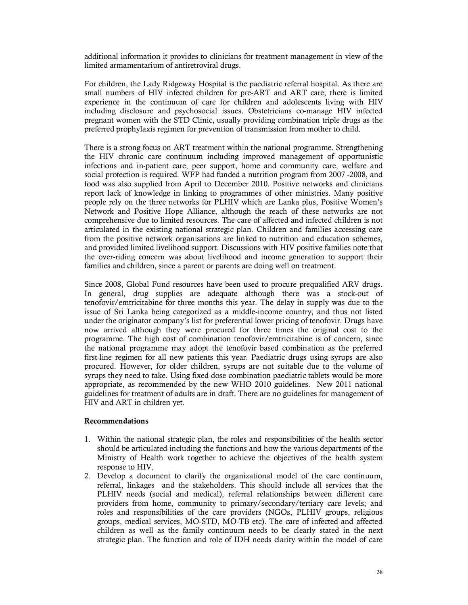additional information it provides to clinicians for treatment management in view of the limited armamentarium of antiretroviral drugs.

For children, the Lady Ridgeway Hospital is the paediatric referral hospital. As there are small numbers of HIV infected children for pre-ART and ART care, there is limited experience in the continuum of care for children and adolescents living with HIV including disclosure and psychosocial issues. Obstetricians co-manage HIV infected pregnant women with the STD Clinic, usually providing combination triple drugs as the preferred prophylaxis regimen for prevention of transmission from mother to child.

There is a strong focus on ART treatment within the national programme. Strengthening the HIV chronic care continuum including improved management of opportunistic infections and in-patient care, peer support, home and community care, welfare and social protection is required. WFP had funded a nutrition program from 2007 -2008, and food was also supplied from April to December 2010. Positive networks and clinicians report lack of knowledge in linking to programmes of other ministries. Many positive people rely on the three networks for PLHIV which are Lanka plus, Positive Women's Network and Positive Hope Alliance, although the reach of these networks are not comprehensive due to limited resources. The care of affected and infected children is not articulated in the existing national strategic plan. Children and families accessing care from the positive network organisations are linked to nutrition and education schemes, and provided limited livelihood support. Discussions with HIV positive families note that the over-riding concern was about livelihood and income generation to support their families and children, since a parent or parents are doing well on treatment.

Since 2008, Global Fund resources have been used to procure prequalified ARV drugs. In general, drug supplies are adequate although there was a stock-out of tenofovir/emtricitabine for three months this year. The delay in supply was due to the issue of Sri Lanka being categorized as a middle-income country, and thus not listed under the originator company's list for preferential lower pricing of tenofovir. Drugs have now arrived although they were procured for three times the original cost to the programme. The high cost of combination tenofovir/emtricitabine is of concern, since the national programme may adopt the tenofovir based combination as the preferred first-line regimen for all new patients this year. Paediatric drugs using syrups are also procured. However, for older children, syrups are not suitable due to the volume of syrups they need to take. Using fixed dose combination paediatric tablets would be more appropriate, as recommended by the new WHO 2010 guidelines. New 2011 national guidelines for treatment of adults are in draft. There are no guidelines for management of HIV and ART in children yet.

### **Recommendations**

- 1. Within the national strategic plan, the roles and responsibilities of the health sector should be articulated including the functions and how the various departments of the Ministry of Health work together to achieve the objectives of the health system response to HIV.
- 2. Develop a document to clarify the organizational model of the care continuum, referral, linkages and the stakeholders. This should include all services that the PLHIV needs (social and medical), referral relationships between different care providers from home, community to primary/secondary/tertiary care levels; and roles and responsibilities of the care providers (NGOs, PLHIV groups, religious groups, medical services, MO-STD, MO-TB etc). The care of infected and affected children as well as the family continuum needs to be clearly stated in the next strategic plan. The function and role of IDH needs clarity within the model of care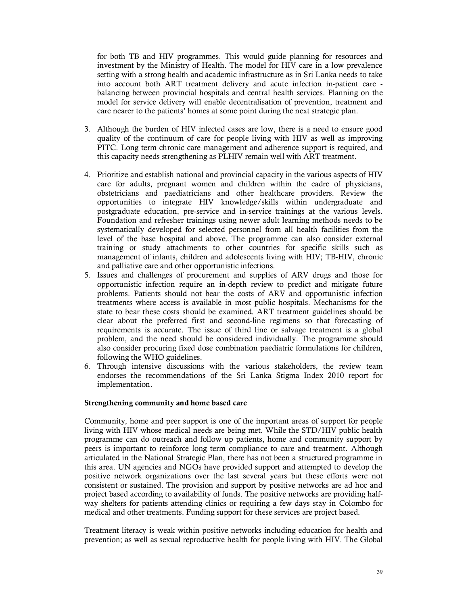for both TB and HIV programmes. This would guide planning for resources and investment by the Ministry of Health. The model for HIV care in a low prevalence setting with a strong health and academic infrastructure as in Sri Lanka needs to take into account both ART treatment delivery and acute infection in-patient care balancing between provincial hospitals and central health services. Planning on the model for service delivery will enable decentralisation of prevention, treatment and care nearer to the patients' homes at some point during the next strategic plan.

- 3. Although the burden of HIV infected cases are low, there is a need to ensure good quality of the continuum of care for people living with HIV as well as improving PITC. Long term chronic care management and adherence support is required, and this capacity needs strengthening as PLHIV remain well with ART treatment.
- 4. Prioritize and establish national and provincial capacity in the various aspects of HIV care for adults, pregnant women and children within the cadre of physicians, obstetricians and paediatricians and other healthcare providers. Review the opportunities to integrate HIV knowledge/skills within undergraduate and postgraduate education, pre-service and in-service trainings at the various levels. Foundation and refresher trainings using newer adult learning methods needs to be systematically developed for selected personnel from all health facilities from the level of the base hospital and above. The programme can also consider external training or study attachments to other countries for specific skills such as management of infants, children and adolescents living with HIV; TB-HIV, chronic and palliative care and other opportunistic infections.
- 5. Issues and challenges of procurement and supplies of ARV drugs and those for opportunistic infection require an in-depth review to predict and mitigate future problems. Patients should not bear the costs of ARV and opportunistic infection treatments where access is available in most public hospitals. Mechanisms for the state to bear these costs should be examined. ART treatment guidelines should be clear about the preferred first and second-line regimens so that forecasting of requirements is accurate. The issue of third line or salvage treatment is a global problem, and the need should be considered individually. The programme should also consider procuring fixed dose combination paediatric formulations for children, following the WHO guidelines.
- 6. Through intensive discussions with the various stakeholders, the review team endorses the recommendations of the Sri Lanka Stigma Index 2010 report for implementation.

### **Strengthening community and home based care**

Community, home and peer support is one of the important areas of support for people living with HIV whose medical needs are being met. While the STD/HIV public health programme can do outreach and follow up patients, home and community support by peers is important to reinforce long term compliance to care and treatment. Although articulated in the National Strategic Plan, there has not been a structured programme in this area. UN agencies and NGOs have provided support and attempted to develop the positive network organizations over the last several years but these efforts were not consistent or sustained. The provision and support by positive networks are ad hoc and project based according to availability of funds. The positive networks are providing halfway shelters for patients attending clinics or requiring a few days stay in Colombo for medical and other treatments. Funding support for these services are project based.

Treatment literacy is weak within positive networks including education for health and prevention; as well as sexual reproductive health for people living with HIV. The Global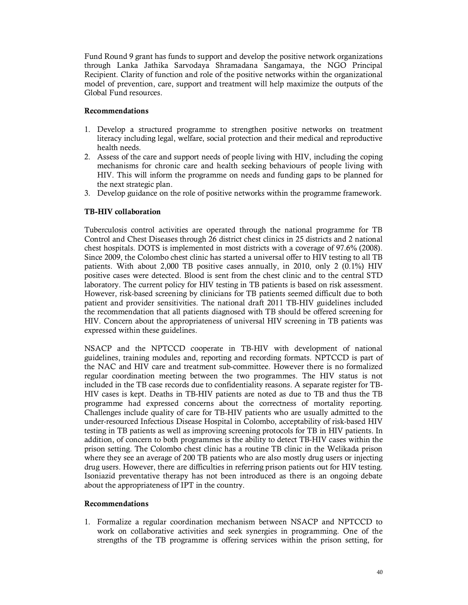Fund Round 9 grant has funds to support and develop the positive network organizations through Lanka Jathika Sarvodaya Shramadana Sangamaya, the NGO Principal Recipient. Clarity of function and role of the positive networks within the organizational model of prevention, care, support and treatment will help maximize the outputs of the Global Fund resources.

### **Recommendations**

- 1. Develop a structured programme to strengthen positive networks on treatment literacy including legal, welfare, social protection and their medical and reproductive health needs.
- 2. Assess of the care and support needs of people living with HIV, including the coping mechanisms for chronic care and health seeking behaviours of people living with HIV. This will inform the programme on needs and funding gaps to be planned for the next strategic plan.
- 3. Develop guidance on the role of positive networks within the programme framework.

# **TB-HIV collaboration**

Tuberculosis control activities are operated through the national programme for TB Control and Chest Diseases through 26 district chest clinics in 25 districts and 2 national chest hospitals. DOTS is implemented in most districts with a coverage of 97.6% (2008). Since 2009, the Colombo chest clinic has started a universal offer to HIV testing to all TB patients. With about 2,000 TB positive cases annually, in 2010, only 2 (0.1%) HIV positive cases were detected. Blood is sent from the chest clinic and to the central STD laboratory. The current policy for HIV testing in TB patients is based on risk assessment. However, risk-based screening by clinicians for TB patients seemed difficult due to both patient and provider sensitivities. The national draft 2011 TB-HIV guidelines included the recommendation that all patients diagnosed with TB should be offered screening for HIV. Concern about the appropriateness of universal HIV screening in TB patients was expressed within these guidelines.

NSACP and the NPTCCD cooperate in TB-HIV with development of national guidelines, training modules and, reporting and recording formats. NPTCCD is part of the NAC and HIV care and treatment sub-committee. However there is no formalized regular coordination meeting between the two programmes. The HIV status is not included in the TB case records due to confidentiality reasons. A separate register for TB-HIV cases is kept. Deaths in TB-HIV patients are noted as due to TB and thus the TB programme had expressed concerns about the correctness of mortality reporting. Challenges include quality of care for TB-HIV patients who are usually admitted to the under-resourced Infectious Disease Hospital in Colombo, acceptability of risk-based HIV testing in TB patients as well as improving screening protocols for TB in HIV patients. In addition, of concern to both programmes is the ability to detect TB-HIV cases within the prison setting. The Colombo chest clinic has a routine TB clinic in the Welikada prison where they see an average of 200 TB patients who are also mostly drug users or injecting drug users. However, there are difficulties in referring prison patients out for HIV testing. Isoniazid preventative therapy has not been introduced as there is an ongoing debate about the appropriateness of IPT in the country.

### **Recommendations**

1. Formalize a regular coordination mechanism between NSACP and NPTCCD to work on collaborative activities and seek synergies in programming. One of the strengths of the TB programme is offering services within the prison setting, for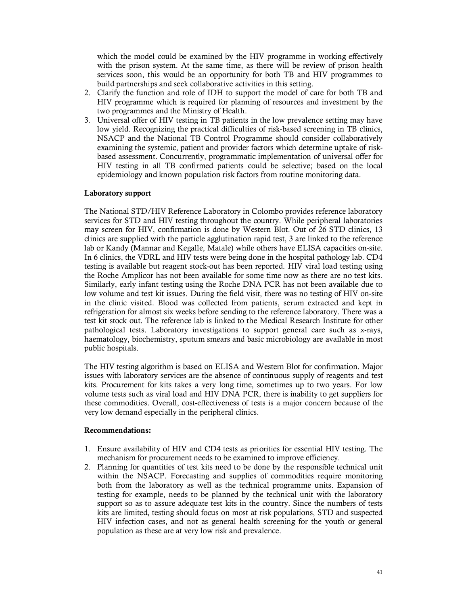which the model could be examined by the HIV programme in working effectively with the prison system. At the same time, as there will be review of prison health services soon, this would be an opportunity for both TB and HIV programmes to build partnerships and seek collaborative activities in this setting.

- 2. Clarify the function and role of IDH to support the model of care for both TB and HIV programme which is required for planning of resources and investment by the two programmes and the Ministry of Health.
- 3. Universal offer of HIV testing in TB patients in the low prevalence setting may have low yield. Recognizing the practical difficulties of risk-based screening in TB clinics, NSACP and the National TB Control Programme should consider collaboratively examining the systemic, patient and provider factors which determine uptake of riskbased assessment. Concurrently, programmatic implementation of universal offer for HIV testing in all TB confirmed patients could be selective; based on the local epidemiology and known population risk factors from routine monitoring data.

### **Laboratory support**

The National STD/HIV Reference Laboratory in Colombo provides reference laboratory services for STD and HIV testing throughout the country. While peripheral laboratories may screen for HIV, confirmation is done by Western Blot. Out of 26 STD clinics, 13 clinics are supplied with the particle agglutination rapid test, 3 are linked to the reference lab or Kandy (Mannar and Kegalle, Matale) while others have ELISA capacities on-site. In 6 clinics, the VDRL and HIV tests were being done in the hospital pathology lab. CD4 testing is available but reagent stock-out has been reported. HIV viral load testing using the Roche Amplicor has not been available for some time now as there are no test kits. Similarly, early infant testing using the Roche DNA PCR has not been available due to low volume and test kit issues. During the field visit, there was no testing of HIV on-site in the clinic visited. Blood was collected from patients, serum extracted and kept in refrigeration for almost six weeks before sending to the reference laboratory. There was a test kit stock out. The reference lab is linked to the Medical Research Institute for other pathological tests. Laboratory investigations to support general care such as x-rays, haematology, biochemistry, sputum smears and basic microbiology are available in most public hospitals.

The HIV testing algorithm is based on ELISA and Western Blot for confirmation. Major issues with laboratory services are the absence of continuous supply of reagents and test kits. Procurement for kits takes a very long time, sometimes up to two years. For low volume tests such as viral load and HIV DNA PCR, there is inability to get suppliers for these commodities. Overall, cost-effectiveness of tests is a major concern because of the very low demand especially in the peripheral clinics.

### **Recommendations:**

- 1. Ensure availability of HIV and CD4 tests as priorities for essential HIV testing. The mechanism for procurement needs to be examined to improve efficiency.
- 2. Planning for quantities of test kits need to be done by the responsible technical unit within the NSACP. Forecasting and supplies of commodities require monitoring both from the laboratory as well as the technical programme units. Expansion of testing for example, needs to be planned by the technical unit with the laboratory support so as to assure adequate test kits in the country. Since the numbers of tests kits are limited, testing should focus on most at risk populations, STD and suspected HIV infection cases, and not as general health screening for the youth or general population as these are at very low risk and prevalence.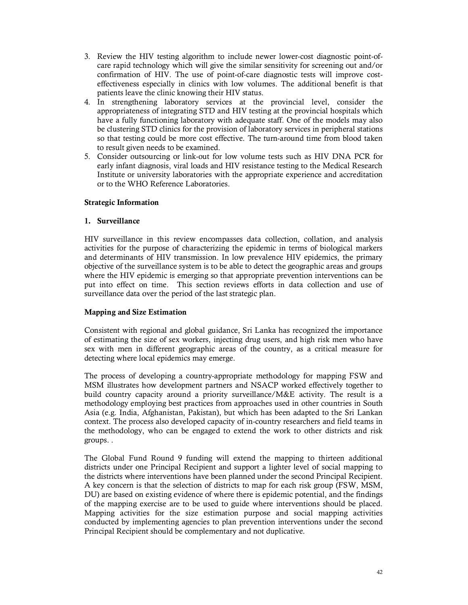- 3. Review the HIV testing algorithm to include newer lower-cost diagnostic point-ofcare rapid technology which will give the similar sensitivity for screening out and/or confirmation of HIV. The use of point-of-care diagnostic tests will improve costeffectiveness especially in clinics with low volumes. The additional benefit is that patients leave the clinic knowing their HIV status.
- 4. In strengthening laboratory services at the provincial level, consider the appropriateness of integrating STD and HIV testing at the provincial hospitals which have a fully functioning laboratory with adequate staff. One of the models may also be clustering STD clinics for the provision of laboratory services in peripheral stations so that testing could be more cost effective. The turn-around time from blood taken to result given needs to be examined.
- 5. Consider outsourcing or link-out for low volume tests such as HIV DNA PCR for early infant diagnosis, viral loads and HIV resistance testing to the Medical Research Institute or university laboratories with the appropriate experience and accreditation or to the WHO Reference Laboratories.

### **Strategic Information**

### **1. Surveillance**

HIV surveillance in this review encompasses data collection, collation, and analysis activities for the purpose of characterizing the epidemic in terms of biological markers and determinants of HIV transmission. In low prevalence HIV epidemics, the primary objective of the surveillance system is to be able to detect the geographic areas and groups where the HIV epidemic is emerging so that appropriate prevention interventions can be put into effect on time. This section reviews efforts in data collection and use of surveillance data over the period of the last strategic plan.

# **Mapping and Size Estimation**

Consistent with regional and global guidance, Sri Lanka has recognized the importance of estimating the size of sex workers, injecting drug users, and high risk men who have sex with men in different geographic areas of the country, as a critical measure for detecting where local epidemics may emerge.

The process of developing a country-appropriate methodology for mapping FSW and MSM illustrates how development partners and NSACP worked effectively together to build country capacity around a priority surveillance/M&E activity. The result is a methodology employing best practices from approaches used in other countries in South Asia (e.g. India, Afghanistan, Pakistan), but which has been adapted to the Sri Lankan context. The process also developed capacity of in-country researchers and field teams in the methodology, who can be engaged to extend the work to other districts and risk groups. .

The Global Fund Round 9 funding will extend the mapping to thirteen additional districts under one Principal Recipient and support a lighter level of social mapping to the districts where interventions have been planned under the second Principal Recipient. A key concern is that the selection of districts to map for each risk group (FSW, MSM, DU) are based on existing evidence of where there is epidemic potential, and the findings of the mapping exercise are to be used to guide where interventions should be placed. Mapping activities for the size estimation purpose and social mapping activities conducted by implementing agencies to plan prevention interventions under the second Principal Recipient should be complementary and not duplicative.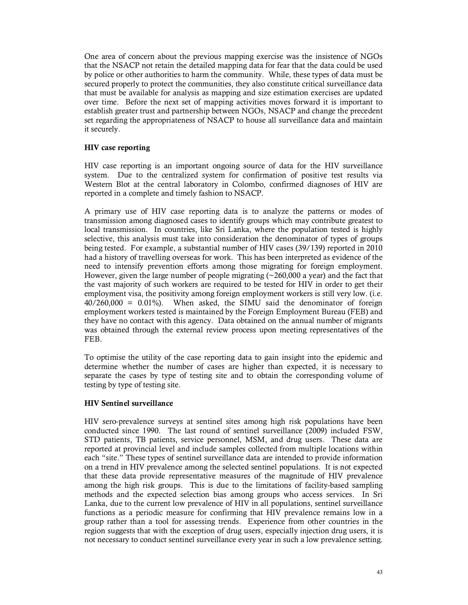One area of concern about the previous mapping exercise was the insistence of NGOs that the NSACP not retain the detailed mapping data for fear that the data could be used by police or other authorities to harm the community. While, these types of data must be secured properly to protect the communities, they also constitute critical surveillance data that must be available for analysis as mapping and size estimation exercises are updated over time. Before the next set of mapping activities moves forward it is important to establish greater trust and partnership between NGOs, NSACP and change the precedent set regarding the appropriateness of NSACP to house all surveillance data and maintain it securely.

### **HIV case reporting**

HIV case reporting is an important ongoing source of data for the HIV surveillance system. Due to the centralized system for confirmation of positive test results via Western Blot at the central laboratory in Colombo, confirmed diagnoses of HIV are reported in a complete and timely fashion to NSACP.

A primary use of HIV case reporting data is to analyze the patterns or modes of transmission among diagnosed cases to identify groups which may contribute greatest to local transmission. In countries, like Sri Lanka, where the population tested is highly selective, this analysis must take into consideration the denominator of types of groups being tested. For example, a substantial number of HIV cases (39/139) reported in 2010 had a history of travelling overseas for work. This has been interpreted as evidence of the need to intensify prevention efforts among those migrating for foreign employment. However, given the large number of people migrating  $(\sim 260,000$  a year) and the fact that the vast majority of such workers are required to be tested for HIV in order to get their employment visa, the positivity among foreign employment workers is still very low. (i.e. 40/260,000 = 0.01%). When asked, the SIMU said the denominator of foreign employment workers tested is maintained by the Foreign Employment Bureau (FEB) and they have no contact with this agency. Data obtained on the annual number of migrants was obtained through the external review process upon meeting representatives of the FEB.

To optimise the utility of the case reporting data to gain insight into the epidemic and determine whether the number of cases are higher than expected, it is necessary to separate the cases by type of testing site and to obtain the corresponding volume of testing by type of testing site.

# **HIV Sentinel surveillance**

HIV sero-prevalence surveys at sentinel sites among high risk populations have been conducted since 1990. The last round of sentinel surveillance (2009) included FSW, STD patients, TB patients, service personnel, MSM, and drug users. These data are reported at provincial level and include samples collected from multiple locations within each "site." These types of sentinel surveillance data are intended to provide information on a trend in HIV prevalence among the selected sentinel populations. It is not expected that these data provide representative measures of the magnitude of HIV prevalence among the high risk groups. This is due to the limitations of facility-based sampling methods and the expected selection bias among groups who access services. In Sri Lanka, due to the current low prevalence of HIV in all populations, sentinel surveillance functions as a periodic measure for confirming that HIV prevalence remains low in a group rather than a tool for assessing trends. Experience from other countries in the region suggests that with the exception of drug users, especially injection drug users, it is not necessary to conduct sentinel surveillance every year in such a low prevalence setting.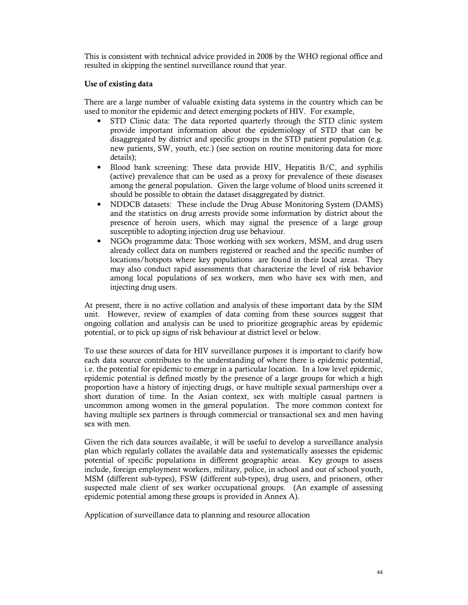This is consistent with technical advice provided in 2008 by the WHO regional office and resulted in skipping the sentinel surveillance round that year.

## **Use of existing data**

There are a large number of valuable existing data systems in the country which can be used to monitor the epidemic and detect emerging pockets of HIV. For example,

- STD Clinic data: The data reported quarterly through the STD clinic system provide important information about the epidemiology of STD that can be disaggregated by district and specific groups in the STD patient population (e.g. new patients, SW, youth, etc.) (see section on routine monitoring data for more details);
- Blood bank screening: These data provide HIV, Hepatitis B/C, and syphilis (active) prevalence that can be used as a proxy for prevalence of these diseases among the general population. Given the large volume of blood units screened it should be possible to obtain the dataset disaggregated by district.
- NDDCB datasets: These include the Drug Abuse Monitoring System (DAMS) and the statistics on drug arrests provide some information by district about the presence of heroin users, which may signal the presence of a large group susceptible to adopting injection drug use behaviour.
- NGOs programme data: Those working with sex workers, MSM, and drug users already collect data on numbers registered or reached and the specific number of locations/hotspots where key populations are found in their local areas. They may also conduct rapid assessments that characterize the level of risk behavior among local populations of sex workers, men who have sex with men, and injecting drug users.

At present, there is no active collation and analysis of these important data by the SIM unit. However, review of examples of data coming from these sources suggest that ongoing collation and analysis can be used to prioritize geographic areas by epidemic potential, or to pick up signs of risk behaviour at district level or below.

To use these sources of data for HIV surveillance purposes it is important to clarify how each data source contributes to the understanding of where there is epidemic potential, i.e. the potential for epidemic to emerge in a particular location. In a low level epidemic, epidemic potential is defined mostly by the presence of a large groups for which a high proportion have a history of injecting drugs, or have multiple sexual partnerships over a short duration of time. In the Asian context, sex with multiple casual partners is uncommon among women in the general population. The more common context for having multiple sex partners is through commercial or transactional sex and men having sex with men.

Given the rich data sources available, it will be useful to develop a surveillance analysis plan which regularly collates the available data and systematically assesses the epidemic potential of specific populations in different geographic areas. Key groups to assess include, foreign employment workers, military, police, in school and out of school youth, MSM (different sub-types), FSW (different sub-types), drug users, and prisoners, other suspected male client of sex worker occupational groups. (An example of assessing epidemic potential among these groups is provided in Annex A).

Application of surveillance data to planning and resource allocation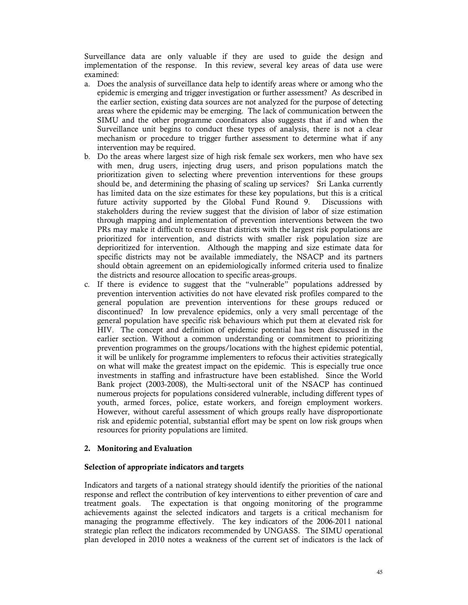Surveillance data are only valuable if they are used to guide the design and implementation of the response. In this review, several key areas of data use were examined:

- a. Does the analysis of surveillance data help to identify areas where or among who the epidemic is emerging and trigger investigation or further assessment? As described in the earlier section, existing data sources are not analyzed for the purpose of detecting areas where the epidemic may be emerging. The lack of communication between the SIMU and the other programme coordinators also suggests that if and when the Surveillance unit begins to conduct these types of analysis, there is not a clear mechanism or procedure to trigger further assessment to determine what if any intervention may be required.
- b. Do the areas where largest size of high risk female sex workers, men who have sex with men, drug users, injecting drug users, and prison populations match the prioritization given to selecting where prevention interventions for these groups should be, and determining the phasing of scaling up services? Sri Lanka currently has limited data on the size estimates for these key populations, but this is a critical future activity supported by the Global Fund Round 9. Discussions with stakeholders during the review suggest that the division of labor of size estimation through mapping and implementation of prevention interventions between the two PRs may make it difficult to ensure that districts with the largest risk populations are prioritized for intervention, and districts with smaller risk population size are deprioritized for intervention. Although the mapping and size estimate data for specific districts may not be available immediately, the NSACP and its partners should obtain agreement on an epidemiologically informed criteria used to finalize the districts and resource allocation to specific areas-groups.
- c. If there is evidence to suggest that the "vulnerable" populations addressed by prevention intervention activities do not have elevated risk profiles compared to the general population are prevention interventions for these groups reduced or discontinued? In low prevalence epidemics, only a very small percentage of the general population have specific risk behaviours which put them at elevated risk for HIV. The concept and definition of epidemic potential has been discussed in the earlier section. Without a common understanding or commitment to prioritizing prevention programmes on the groups/locations with the highest epidemic potential, it will be unlikely for programme implementers to refocus their activities strategically on what will make the greatest impact on the epidemic. This is especially true once investments in staffing and infrastructure have been established. Since the World Bank project (2003-2008), the Multi-sectoral unit of the NSACP has continued numerous projects for populations considered vulnerable, including different types of youth, armed forces, police, estate workers, and foreign employment workers. However, without careful assessment of which groups really have disproportionate risk and epidemic potential, substantial effort may be spent on low risk groups when resources for priority populations are limited.

### **2. Monitoring and Evaluation**

### **Selection of appropriate indicators and targets**

Indicators and targets of a national strategy should identify the priorities of the national response and reflect the contribution of key interventions to either prevention of care and treatment goals. The expectation is that ongoing monitoring of the programme achievements against the selected indicators and targets is a critical mechanism for managing the programme effectively. The key indicators of the 2006-2011 national strategic plan reflect the indicators recommended by UNGASS. The SIMU operational plan developed in 2010 notes a weakness of the current set of indicators is the lack of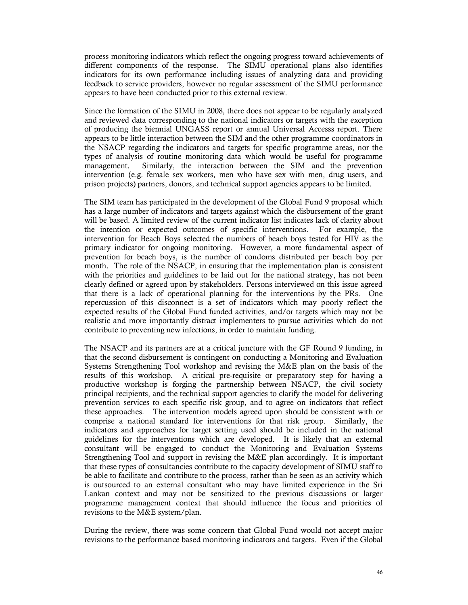process monitoring indicators which reflect the ongoing progress toward achievements of different components of the response. The SIMU operational plans also identifies indicators for its own performance including issues of analyzing data and providing feedback to service providers, however no regular assessment of the SIMU performance appears to have been conducted prior to this external review.

Since the formation of the SIMU in 2008, there does not appear to be regularly analyzed and reviewed data corresponding to the national indicators or targets with the exception of producing the biennial UNGASS report or annual Universal Accesss report. There appears to be little interaction between the SIM and the other programme coordinators in the NSACP regarding the indicators and targets for specific programme areas, nor the types of analysis of routine monitoring data which would be useful for programme management. Similarly, the interaction between the SIM and the prevention intervention (e.g. female sex workers, men who have sex with men, drug users, and prison projects) partners, donors, and technical support agencies appears to be limited.

The SIM team has participated in the development of the Global Fund 9 proposal which has a large number of indicators and targets against which the disbursement of the grant will be based. A limited review of the current indicator list indicates lack of clarity about the intention or expected outcomes of specific interventions. For example, the intervention for Beach Boys selected the numbers of beach boys tested for HIV as the primary indicator for ongoing monitoring. However, a more fundamental aspect of prevention for beach boys, is the number of condoms distributed per beach boy per month. The role of the NSACP, in ensuring that the implementation plan is consistent with the priorities and guidelines to be laid out for the national strategy, has not been clearly defined or agreed upon by stakeholders. Persons interviewed on this issue agreed that there is a lack of operational planning for the interventions by the PRs. One repercussion of this disconnect is a set of indicators which may poorly reflect the expected results of the Global Fund funded activities, and/or targets which may not be realistic and more importantly distract implementers to pursue activities which do not contribute to preventing new infections, in order to maintain funding.

The NSACP and its partners are at a critical juncture with the GF Round 9 funding, in that the second disbursement is contingent on conducting a Monitoring and Evaluation Systems Strengthening Tool workshop and revising the M&E plan on the basis of the results of this workshop. A critical pre-requisite or preparatory step for having a productive workshop is forging the partnership between NSACP, the civil society principal recipients, and the technical support agencies to clarify the model for delivering prevention services to each specific risk group, and to agree on indicators that reflect these approaches. The intervention models agreed upon should be consistent with or comprise a national standard for interventions for that risk group. Similarly, the indicators and approaches for target setting used should be included in the national guidelines for the interventions which are developed. It is likely that an external consultant will be engaged to conduct the Monitoring and Evaluation Systems Strengthening Tool and support in revising the M&E plan accordingly. It is important that these types of consultancies contribute to the capacity development of SIMU staff to be able to facilitate and contribute to the process, rather than be seen as an activity which is outsourced to an external consultant who may have limited experience in the Sri Lankan context and may not be sensitized to the previous discussions or larger programme management context that should influence the focus and priorities of revisions to the M&E system/plan.

During the review, there was some concern that Global Fund would not accept major revisions to the performance based monitoring indicators and targets. Even if the Global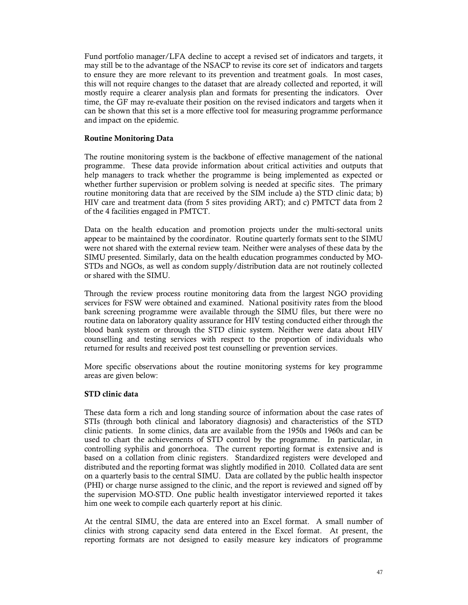Fund portfolio manager/LFA decline to accept a revised set of indicators and targets, it may still be to the advantage of the NSACP to revise its core set of indicators and targets to ensure they are more relevant to its prevention and treatment goals. In most cases, this will not require changes to the dataset that are already collected and reported, it will mostly require a clearer analysis plan and formats for presenting the indicators. Over time, the GF may re-evaluate their position on the revised indicators and targets when it can be shown that this set is a more effective tool for measuring programme performance and impact on the epidemic.

### **Routine Monitoring Data**

The routine monitoring system is the backbone of effective management of the national programme. These data provide information about critical activities and outputs that help managers to track whether the programme is being implemented as expected or whether further supervision or problem solving is needed at specific sites. The primary routine monitoring data that are received by the SIM include a) the STD clinic data; b) HIV care and treatment data (from 5 sites providing ART); and c) PMTCT data from 2 of the 4 facilities engaged in PMTCT.

Data on the health education and promotion projects under the multi-sectoral units appear to be maintained by the coordinator. Routine quarterly formats sent to the SIMU were not shared with the external review team. Neither were analyses of these data by the SIMU presented. Similarly, data on the health education programmes conducted by MO-STDs and NGOs, as well as condom supply/distribution data are not routinely collected or shared with the SIMU.

Through the review process routine monitoring data from the largest NGO providing services for FSW were obtained and examined. National positivity rates from the blood bank screening programme were available through the SIMU files, but there were no routine data on laboratory quality assurance for HIV testing conducted either through the blood bank system or through the STD clinic system. Neither were data about HIV counselling and testing services with respect to the proportion of individuals who returned for results and received post test counselling or prevention services.

More specific observations about the routine monitoring systems for key programme areas are given below:

#### **STD clinic data**

These data form a rich and long standing source of information about the case rates of STIs (through both clinical and laboratory diagnosis) and characteristics of the STD clinic patients. In some clinics, data are available from the 1950s and 1960s and can be used to chart the achievements of STD control by the programme. In particular, in controlling syphilis and gonorrhoea. The current reporting format is extensive and is based on a collation from clinic registers. Standardized registers were developed and distributed and the reporting format was slightly modified in 2010. Collated data are sent on a quarterly basis to the central SIMU. Data are collated by the public health inspector (PHI) or charge nurse assigned to the clinic, and the report is reviewed and signed off by the supervision MO-STD. One public health investigator interviewed reported it takes him one week to compile each quarterly report at his clinic.

At the central SIMU, the data are entered into an Excel format. A small number of clinics with strong capacity send data entered in the Excel format. At present, the reporting formats are not designed to easily measure key indicators of programme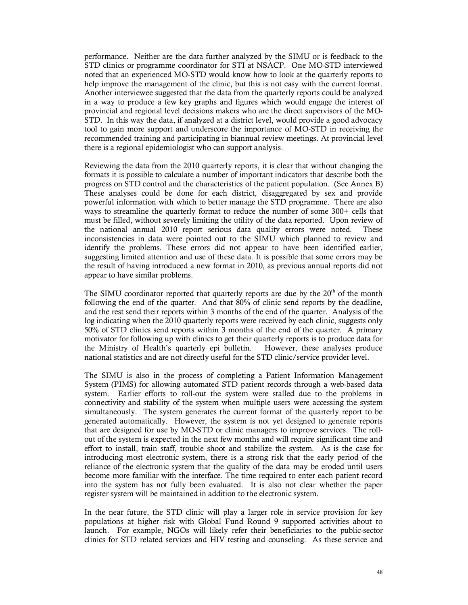performance. Neither are the data further analyzed by the SIMU or is feedback to the STD clinics or programme coordinator for STI at NSACP. One MO-STD interviewed noted that an experienced MO-STD would know how to look at the quarterly reports to help improve the management of the clinic, but this is not easy with the current format. Another interviewee suggested that the data from the quarterly reports could be analyzed in a way to produce a few key graphs and figures which would engage the interest of provincial and regional level decisions makers who are the direct supervisors of the MO-STD. In this way the data, if analyzed at a district level, would provide a good advocacy tool to gain more support and underscore the importance of MO-STD in receiving the recommended training and participating in biannual review meetings. At provincial level there is a regional epidemiologist who can support analysis.

Reviewing the data from the 2010 quarterly reports, it is clear that without changing the formats it is possible to calculate a number of important indicators that describe both the progress on STD control and the characteristics of the patient population. (See Annex B) These analyses could be done for each district, disaggregated by sex and provide powerful information with which to better manage the STD programme. There are also ways to streamline the quarterly format to reduce the number of some 300+ cells that must be filled, without severely limiting the utility of the data reported. Upon review of the national annual 2010 report serious data quality errors were noted. These inconsistencies in data were pointed out to the SIMU which planned to review and identify the problems. These errors did not appear to have been identified earlier, suggesting limited attention and use of these data. It is possible that some errors may be the result of having introduced a new format in 2010, as previous annual reports did not appear to have similar problems.

The SIMU coordinator reported that quarterly reports are due by the  $20<sup>th</sup>$  of the month following the end of the quarter. And that 80% of clinic send reports by the deadline, and the rest send their reports within 3 months of the end of the quarter. Analysis of the log indicating when the 2010 quarterly reports were received by each clinic, suggests only 50% of STD clinics send reports within 3 months of the end of the quarter. A primary motivator for following up with clinics to get their quarterly reports is to produce data for the Ministry of Health's quarterly epi bulletin. However, these analyses produce national statistics and are not directly useful for the STD clinic/service provider level.

The SIMU is also in the process of completing a Patient Information Management System (PIMS) for allowing automated STD patient records through a web-based data system. Earlier efforts to roll-out the system were stalled due to the problems in connectivity and stability of the system when multiple users were accessing the system simultaneously. The system generates the current format of the quarterly report to be generated automatically. However, the system is not yet designed to generate reports that are designed for use by MO-STD or clinic managers to improve services. The rollout of the system is expected in the next few months and will require significant time and effort to install, train staff, trouble shoot and stabilize the system. As is the case for introducing most electronic system, there is a strong risk that the early period of the reliance of the electronic system that the quality of the data may be eroded until users become more familiar with the interface. The time required to enter each patient record into the system has not fully been evaluated. It is also not clear whether the paper register system will be maintained in addition to the electronic system.

In the near future, the STD clinic will play a larger role in service provision for key populations at higher risk with Global Fund Round 9 supported activities about to launch. For example, NGOs will likely refer their beneficiaries to the public-sector clinics for STD related services and HIV testing and counseling. As these service and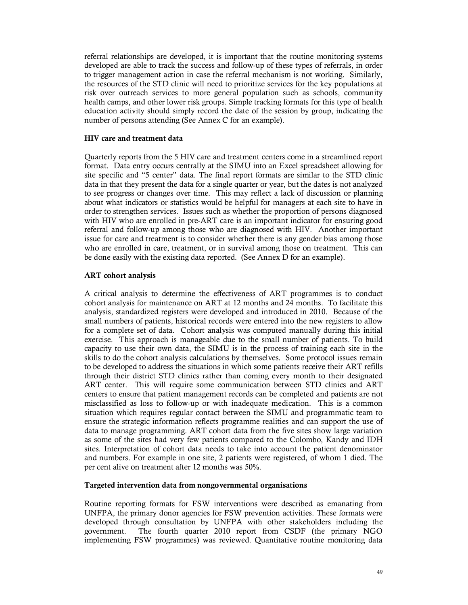referral relationships are developed, it is important that the routine monitoring systems developed are able to track the success and follow-up of these types of referrals, in order to trigger management action in case the referral mechanism is not working. Similarly, the resources of the STD clinic will need to prioritize services for the key populations at risk over outreach services to more general population such as schools, community health camps, and other lower risk groups. Simple tracking formats for this type of health education activity should simply record the date of the session by group, indicating the number of persons attending (See Annex C for an example).

### **HIV care and treatment data**

Quarterly reports from the 5 HIV care and treatment centers come in a streamlined report format. Data entry occurs centrally at the SIMU into an Excel spreadsheet allowing for site specific and "5 center" data. The final report formats are similar to the STD clinic data in that they present the data for a single quarter or year, but the dates is not analyzed to see progress or changes over time. This may reflect a lack of discussion or planning about what indicators or statistics would be helpful for managers at each site to have in order to strengthen services. Issues such as whether the proportion of persons diagnosed with HIV who are enrolled in pre-ART care is an important indicator for ensuring good referral and follow-up among those who are diagnosed with HIV. Another important issue for care and treatment is to consider whether there is any gender bias among those who are enrolled in care, treatment, or in survival among those on treatment. This can be done easily with the existing data reported. (See Annex D for an example).

### **ART cohort analysis**

A critical analysis to determine the effectiveness of ART programmes is to conduct cohort analysis for maintenance on ART at 12 months and 24 months. To facilitate this analysis, standardized registers were developed and introduced in 2010. Because of the small numbers of patients, historical records were entered into the new registers to allow for a complete set of data. Cohort analysis was computed manually during this initial exercise. This approach is manageable due to the small number of patients. To build capacity to use their own data, the SIMU is in the process of training each site in the skills to do the cohort analysis calculations by themselves. Some protocol issues remain to be developed to address the situations in which some patients receive their ART refills through their district STD clinics rather than coming every month to their designated ART center. This will require some communication between STD clinics and ART centers to ensure that patient management records can be completed and patients are not misclassified as loss to follow-up or with inadequate medication. This is a common situation which requires regular contact between the SIMU and programmatic team to ensure the strategic information reflects programme realities and can support the use of data to manage programming. ART cohort data from the five sites show large variation as some of the sites had very few patients compared to the Colombo, Kandy and IDH sites. Interpretation of cohort data needs to take into account the patient denominator and numbers. For example in one site, 2 patients were registered, of whom 1 died. The per cent alive on treatment after 12 months was 50%.

### **Targeted intervention data from nongovernmental organisations**

Routine reporting formats for FSW interventions were described as emanating from UNFPA, the primary donor agencies for FSW prevention activities. These formats were developed through consultation by UNFPA with other stakeholders including the government. The fourth quarter 2010 report from CSDF (the primary NGO implementing FSW programmes) was reviewed. Quantitative routine monitoring data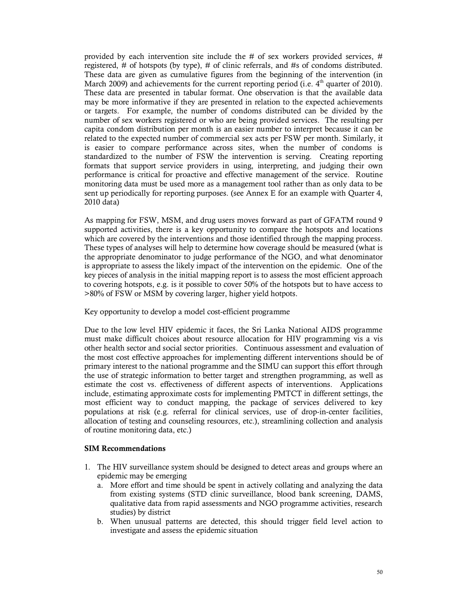provided by each intervention site include the # of sex workers provided services, # registered, # of hotspots (by type), # of clinic referrals, and #s of condoms distributed. These data are given as cumulative figures from the beginning of the intervention (in March 2009) and achievements for the current reporting period (i.e.  $4<sup>th</sup>$  quarter of 2010). These data are presented in tabular format. One observation is that the available data may be more informative if they are presented in relation to the expected achievements or targets. For example, the number of condoms distributed can be divided by the number of sex workers registered or who are being provided services. The resulting per capita condom distribution per month is an easier number to interpret because it can be related to the expected number of commercial sex acts per FSW per month. Similarly, it is easier to compare performance across sites, when the number of condoms is standardized to the number of FSW the intervention is serving. Creating reporting formats that support service providers in using, interpreting, and judging their own performance is critical for proactive and effective management of the service. Routine monitoring data must be used more as a management tool rather than as only data to be sent up periodically for reporting purposes. (see Annex E for an example with Quarter 4, 2010 data)

As mapping for FSW, MSM, and drug users moves forward as part of GFATM round 9 supported activities, there is a key opportunity to compare the hotspots and locations which are covered by the interventions and those identified through the mapping process. These types of analyses will help to determine how coverage should be measured (what is the appropriate denominator to judge performance of the NGO, and what denominator is appropriate to assess the likely impact of the intervention on the epidemic. One of the key pieces of analysis in the initial mapping report is to assess the most efficient approach to covering hotspots, e.g. is it possible to cover 50% of the hotspots but to have access to >80% of FSW or MSM by covering larger, higher yield hotpots.

Key opportunity to develop a model cost-efficient programme

Due to the low level HIV epidemic it faces, the Sri Lanka National AIDS programme must make difficult choices about resource allocation for HIV programming vis a vis other health sector and social sector priorities. Continuous assessment and evaluation of the most cost effective approaches for implementing different interventions should be of primary interest to the national programme and the SIMU can support this effort through the use of strategic information to better target and strengthen programming, as well as estimate the cost vs. effectiveness of different aspects of interventions. Applications include, estimating approximate costs for implementing PMTCT in different settings, the most efficient way to conduct mapping, the package of services delivered to key populations at risk (e.g. referral for clinical services, use of drop-in-center facilities, allocation of testing and counseling resources, etc.), streamlining collection and analysis of routine monitoring data, etc.)

#### **SIM Recommendations**

- 1. The HIV surveillance system should be designed to detect areas and groups where an epidemic may be emerging
	- a. More effort and time should be spent in actively collating and analyzing the data from existing systems (STD clinic surveillance, blood bank screening, DAMS, qualitative data from rapid assessments and NGO programme activities, research studies) by district
	- b. When unusual patterns are detected, this should trigger field level action to investigate and assess the epidemic situation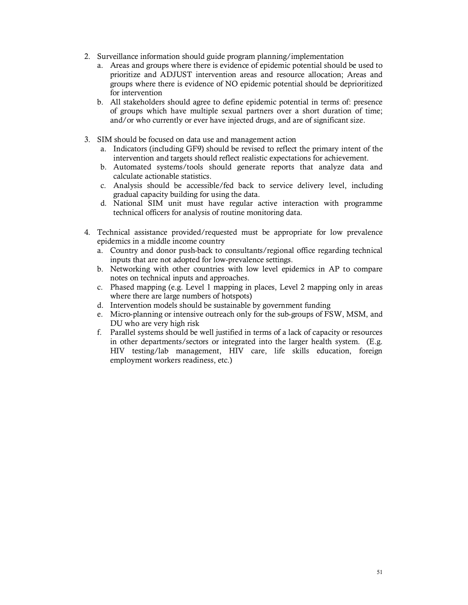- 2. Surveillance information should guide program planning/implementation
	- a. Areas and groups where there is evidence of epidemic potential should be used to prioritize and ADJUST intervention areas and resource allocation; Areas and groups where there is evidence of NO epidemic potential should be deprioritized for intervention
	- b. All stakeholders should agree to define epidemic potential in terms of: presence of groups which have multiple sexual partners over a short duration of time; and/or who currently or ever have injected drugs, and are of significant size.
- 3. SIM should be focused on data use and management action
	- a. Indicators (including GF9) should be revised to reflect the primary intent of the intervention and targets should reflect realistic expectations for achievement.
	- b. Automated systems/tools should generate reports that analyze data and calculate actionable statistics.
	- c. Analysis should be accessible/fed back to service delivery level, including gradual capacity building for using the data.
	- d. National SIM unit must have regular active interaction with programme technical officers for analysis of routine monitoring data.
- 4. Technical assistance provided/requested must be appropriate for low prevalence epidemics in a middle income country
	- a. Country and donor push-back to consultants/regional office regarding technical inputs that are not adopted for low-prevalence settings.
	- b. Networking with other countries with low level epidemics in AP to compare notes on technical inputs and approaches.
	- c. Phased mapping (e.g. Level 1 mapping in places, Level 2 mapping only in areas where there are large numbers of hotspots)
	- d. Intervention models should be sustainable by government funding
	- e. Micro-planning or intensive outreach only for the sub-groups of FSW, MSM, and DU who are very high risk
	- f. Parallel systems should be well justified in terms of a lack of capacity or resources in other departments/sectors or integrated into the larger health system. (E.g. HIV testing/lab management, HIV care, life skills education, foreign employment workers readiness, etc.)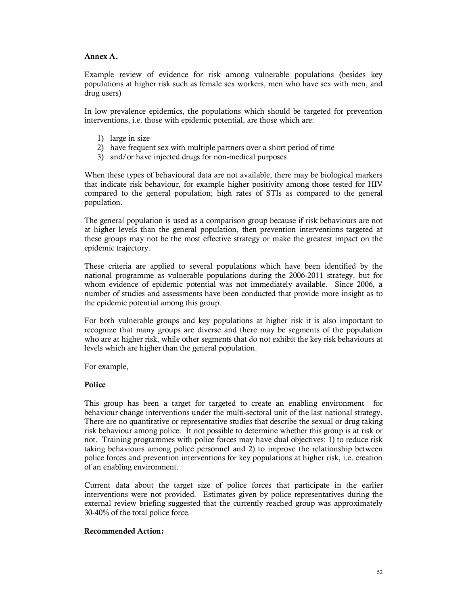### **Annex A.**

Example review of evidence for risk among vulnerable populations (besides key populations at higher risk such as female sex workers, men who have sex with men, and drug users)

In low prevalence epidemics, the populations which should be targeted for prevention interventions, i.e. those with epidemic potential, are those which are:

- 1) large in size
- 2) have frequent sex with multiple partners over a short period of time
- 3) and/or have injected drugs for non-medical purposes

When these types of behavioural data are not available, there may be biological markers that indicate risk behaviour, for example higher positivity among those tested for HIV compared to the general population; high rates of STIs as compared to the general population.

The general population is used as a comparison group because if risk behaviours are not at higher levels than the general population, then prevention interventions targeted at these groups may not be the most effective strategy or make the greatest impact on the epidemic trajectory.

These criteria are applied to several populations which have been identified by the national programme as vulnerable populations during the 2006-2011 strategy, but for whom evidence of epidemic potential was not immediately available. Since 2006, a number of studies and assessments have been conducted that provide more insight as to the epidemic potential among this group.

For both vulnerable groups and key populations at higher risk it is also important to recognize that many groups are diverse and there may be segments of the population who are at higher risk, while other segments that do not exhibit the key risk behaviours at levels which are higher than the general population.

For example,

### **Police**

This group has been a target for targeted to create an enabling environment for behaviour change interventions under the multi-sectoral unit of the last national strategy. There are no quantitative or representative studies that describe the sexual or drug taking risk behaviour among police. It not possible to determine whether this group is at risk or not. Training programmes with police forces may have dual objectives: 1) to reduce risk taking behaviours among police personnel and 2) to improve the relationship between police forces and prevention interventions for key populations at higher risk, i.e. creation of an enabling environment.

Current data about the target size of police forces that participate in the earlier interventions were not provided. Estimates given by police representatives during the external review briefing suggested that the currently reached group was approximately 30-40% of the total police force.

### **Recommended Action:**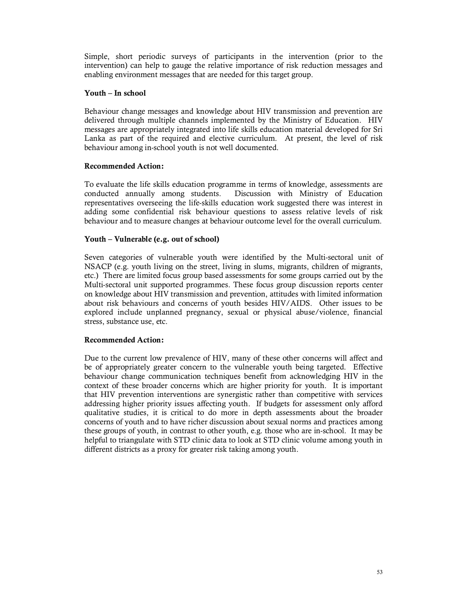Simple, short periodic surveys of participants in the intervention (prior to the intervention) can help to gauge the relative importance of risk reduction messages and enabling environment messages that are needed for this target group.

### **Youth – In school**

Behaviour change messages and knowledge about HIV transmission and prevention are delivered through multiple channels implemented by the Ministry of Education. HIV messages are appropriately integrated into life skills education material developed for Sri Lanka as part of the required and elective curriculum. At present, the level of risk behaviour among in-school youth is not well documented.

### **Recommended Action:**

To evaluate the life skills education programme in terms of knowledge, assessments are conducted annually among students. Discussion with Ministry of Education Discussion with Ministry of Education representatives overseeing the life-skills education work suggested there was interest in adding some confidential risk behaviour questions to assess relative levels of risk behaviour and to measure changes at behaviour outcome level for the overall curriculum.

### **Youth – Vulnerable (e.g. out of school)**

Seven categories of vulnerable youth were identified by the Multi-sectoral unit of NSACP (e.g. youth living on the street, living in slums, migrants, children of migrants, etc.) There are limited focus group based assessments for some groups carried out by the Multi-sectoral unit supported programmes. These focus group discussion reports center on knowledge about HIV transmission and prevention, attitudes with limited information about risk behaviours and concerns of youth besides HIV/AIDS. Other issues to be explored include unplanned pregnancy, sexual or physical abuse/violence, financial stress, substance use, etc.

# **Recommended Action:**

Due to the current low prevalence of HIV, many of these other concerns will affect and be of appropriately greater concern to the vulnerable youth being targeted. Effective behaviour change communication techniques benefit from acknowledging HIV in the context of these broader concerns which are higher priority for youth. It is important that HIV prevention interventions are synergistic rather than competitive with services addressing higher priority issues affecting youth. If budgets for assessment only afford qualitative studies, it is critical to do more in depth assessments about the broader concerns of youth and to have richer discussion about sexual norms and practices among these groups of youth, in contrast to other youth, e.g. those who are in-school. It may be helpful to triangulate with STD clinic data to look at STD clinic volume among youth in different districts as a proxy for greater risk taking among youth.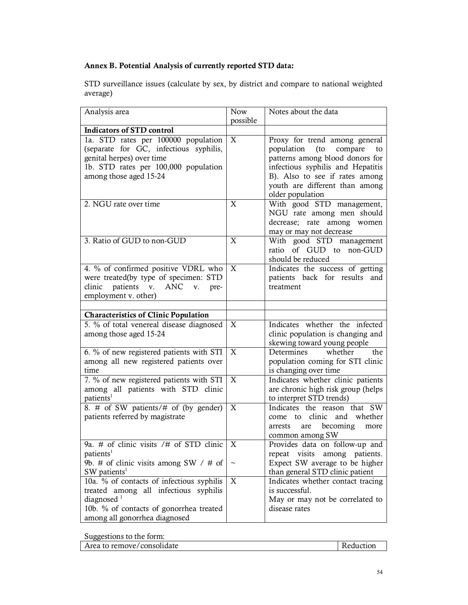# **Annex B. Potential Analysis of currently reported STD data:**

STD surveillance issues (calculate by sex, by district and compare to national weighted average)

| Analysis area                                                                                                                                                                            | <b>Now</b><br>possible | Notes about the data                                                                                                                                                                                                                |
|------------------------------------------------------------------------------------------------------------------------------------------------------------------------------------------|------------------------|-------------------------------------------------------------------------------------------------------------------------------------------------------------------------------------------------------------------------------------|
| <b>Indicators of STD control</b>                                                                                                                                                         |                        |                                                                                                                                                                                                                                     |
| 1a. STD rates per 100000 population<br>(separate for GC, infectious syphilis,<br>genital herpes) over time<br>1b. STD rates per 100,000 population<br>among those aged 15-24             | X                      | Proxy for trend among general<br>population<br>(to<br>compare<br>to<br>patterns among blood donors for<br>infectious syphilis and Hepatitis<br>B). Also to see if rates among<br>youth are different than among<br>older population |
| 2. NGU rate over time                                                                                                                                                                    | X                      | With good STD management,<br>NGU rate among men should<br>decrease; rate among women<br>may or may not decrease                                                                                                                     |
| 3. Ratio of GUD to non-GUD                                                                                                                                                               | X                      | With good STD management<br>of GUD to non-GUD<br>ratio<br>should be reduced                                                                                                                                                         |
| 4. % of confirmed positive VDRL who<br>were treated(by type of specimen: STD<br>patients v.<br>clinic<br>ANC<br>V.<br>pre-<br>employment v. other)                                       | X                      | Indicates the success of getting<br>patients back for results<br>and<br>treatment                                                                                                                                                   |
|                                                                                                                                                                                          |                        |                                                                                                                                                                                                                                     |
| <b>Characteristics of Clinic Population</b><br>5. % of total venereal disease diagnosed                                                                                                  | X                      | Indicates whether the infected                                                                                                                                                                                                      |
| among those aged 15-24                                                                                                                                                                   |                        | clinic population is changing and<br>skewing toward young people                                                                                                                                                                    |
| 6. % of new registered patients with STI<br>among all new registered patients over<br>time                                                                                               | X                      | whether<br>Determines<br>the<br>population coming for STI clinic<br>is changing over time                                                                                                                                           |
| 7. % of new registered patients with STI<br>among all patients with STD clinic<br>patients <sup>1</sup>                                                                                  | X                      | Indicates whether clinic patients<br>are chronic high risk group (helps<br>to interpret STD trends)                                                                                                                                 |
| 8. # of SW patients/# of (by gender)<br>patients referred by magistrate                                                                                                                  | X                      | Indicates the reason that SW<br>clinic and whether<br>come to<br>becoming<br>more<br>arrests<br>are<br>common among SW                                                                                                              |
| 9a. $#$ of clinic visits / $#$ of STD clinic<br>patients <sup>1</sup>                                                                                                                    | X                      | Provides data on follow-up and<br>repeat visits among patients.                                                                                                                                                                     |
| 9b. # of clinic visits among SW $/$ # of<br>SW patients <sup>1</sup>                                                                                                                     | $\thicksim$            | Expect SW average to be higher<br>than general STD clinic patient                                                                                                                                                                   |
| 10a. % of contacts of infectious syphilis<br>treated among all infectious syphilis<br>diagnosed <sup>1</sup><br>10b. % of contacts of gonorrhea treated<br>among all gonorrhea diagnosed | X                      | Indicates whether contact tracing<br>is successful.<br>May or may not be correlated to<br>disease rates                                                                                                                             |

Suggestions to the form:

| Area to remove/consolidate | Reduction |
|----------------------------|-----------|
|                            |           |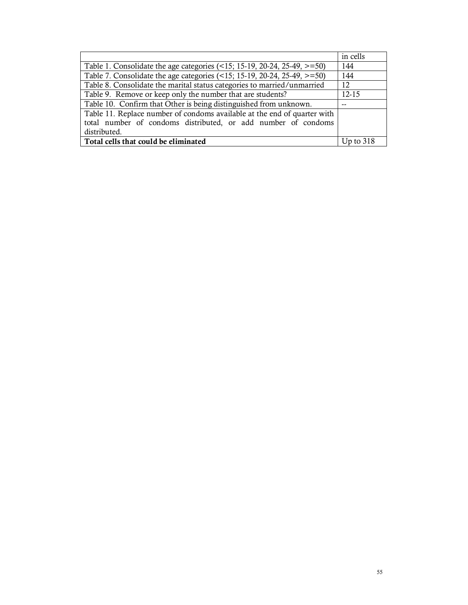|                                                                             | in cells  |
|-----------------------------------------------------------------------------|-----------|
| Table 1. Consolidate the age categories $($ <15; 15-19, 20-24, 25-49, >=50) | 144       |
| Table 7. Consolidate the age categories (<15; 15-19, 20-24, 25-49, >=50)    | 144       |
| Table 8. Consolidate the marital status categories to married/unmarried     | 12        |
| Table 9. Remove or keep only the number that are students?                  | $12 - 15$ |
| Table 10. Confirm that Other is being distinguished from unknown.           | --        |
| Table 11. Replace number of condoms available at the end of quarter with    |           |
| total number of condoms distributed, or add number of condoms               |           |
| distributed.                                                                |           |
| Total cells that could be eliminated                                        |           |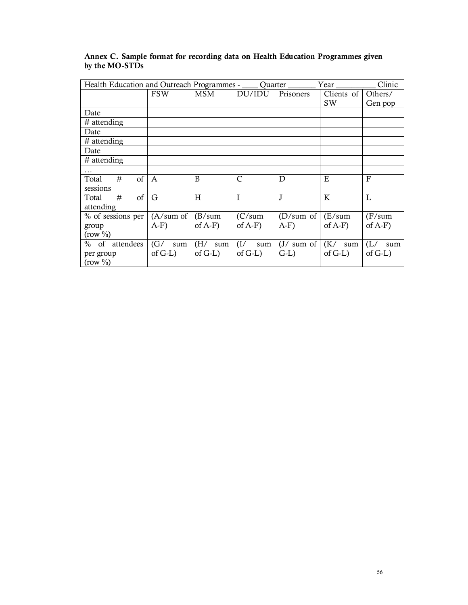| Health Education and Outreach Programmes - ____<br>Quarter<br>Year |                     |            |               |                        |            | Clinic     |
|--------------------------------------------------------------------|---------------------|------------|---------------|------------------------|------------|------------|
|                                                                    | <b>FSW</b>          | MSM        | DU/IDU        | Prisoners              | Clients of | Others/    |
|                                                                    |                     |            |               |                        | <b>SW</b>  | Gen pop    |
| Date                                                               |                     |            |               |                        |            |            |
| $#$ attending                                                      |                     |            |               |                        |            |            |
| Date                                                               |                     |            |               |                        |            |            |
| $#$ attending                                                      |                     |            |               |                        |            |            |
| Date                                                               |                     |            |               |                        |            |            |
| $#$ attending                                                      |                     |            |               |                        |            |            |
| .                                                                  |                     |            |               |                        |            |            |
| <sub>of</sub><br>#<br>Total                                        | $\mathsf{A}$        | B          | $\mathcal{C}$ | D                      | E          | $_{\rm F}$ |
| sessions                                                           |                     |            |               |                        |            |            |
| of<br>#<br>Total                                                   | G                   | H          | I             | J                      | K          | L          |
| attending                                                          |                     |            |               |                        |            |            |
| % of sessions per                                                  | $(A/\text{sum of})$ | (B/sum)    | (C/sum)       | (D/sum of)             | E/sum      | (F/sum)    |
| group                                                              | $A-F$               | of $A-F$ ) | of $A-F$ )    | $A-F$ )                | of $A-F$ ) | of $A-F$ ) |
| $(row \% )$                                                        |                     |            |               |                        |            |            |
| $%$ of<br>attendees                                                | (G/<br>sum          | (H/<br>sum | (I/<br>sum    | $(J / \text{ sum of})$ | (K/<br>sum | (L/<br>sum |
| per group                                                          | of $G-L$ )          | of $G-L$ ) | of $G-L$ )    | $G-L$                  | of $G-L$ ) | of $G-L$ ) |
| $(row \% )$                                                        |                     |            |               |                        |            |            |

# **Annex C. Sample format for recording data on Health Education Programmes given by the MO-STDs**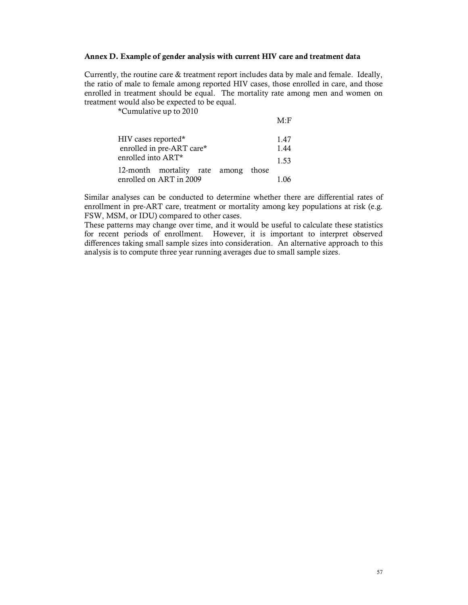#### **Annex D. Example of gender analysis with current HIV care and treatment data**

Currently, the routine care & treatment report includes data by male and female. Ideally, the ratio of male to female among reported HIV cases, those enrolled in care, and those enrolled in treatment should be equal. The mortality rate among men and women on treatment would also be expected to be equal.

 $M \cdot F$ 

\*Cumulative up to 2010

| HIV cases reported*                 | 1.47 |  |  |  |  |
|-------------------------------------|------|--|--|--|--|
| enrolled in pre-ART care*           |      |  |  |  |  |
| enrolled into ART*                  | 1.53 |  |  |  |  |
| 12-month mortality rate among those |      |  |  |  |  |
| enrolled on ART in 2009             | 1.06 |  |  |  |  |

Similar analyses can be conducted to determine whether there are differential rates of enrollment in pre-ART care, treatment or mortality among key populations at risk (e.g. FSW, MSM, or IDU) compared to other cases.

These patterns may change over time, and it would be useful to calculate these statistics for recent periods of enrollment. However, it is important to interpret observed differences taking small sample sizes into consideration. An alternative approach to this analysis is to compute three year running averages due to small sample sizes.